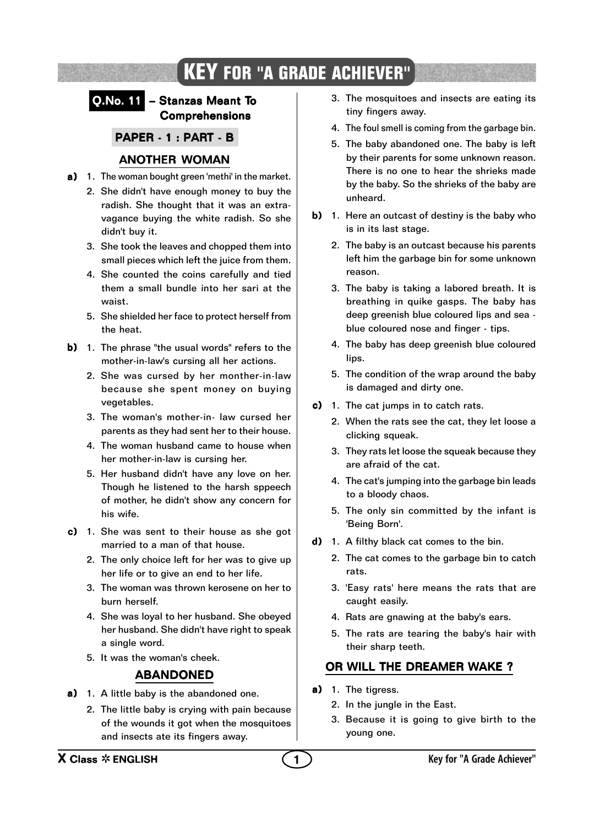# **KEY FOR "A GRADE ACHIEVER"**

#### Q.No. 11 – Stanzas Meant To Comprehensions

PAPER - 1 : PART - B

## ANOTHER WOMAN

- a) 1. The woman bought green 'methi' in the market.
	- 2. She didn't have enough money to buy the radish. She thought that it was an extravagance buying the white radish. So she didn't buy it.
	- 3. She took the leaves and chopped them into small pieces which left the juice from them.
	- 4. She counted the coins carefully and tied them a small bundle into her sari at the waist.
	- 5. She shielded her face to protect herself from the heat.
- **b)** 1. The phrase "the usual words" refers to the mother-in-law's cursing all her actions.
	- 2. She was cursed by her monther-in-law because she spent money on buying vegetables.
	- 3. The woman's mother-in- law cursed her parents as they had sent her to their house.
	- 4. The woman husband came to house when her mother-in-law is cursing her.
	- 5. Her husband didn't have any love on her. Though he listened to the harsh sppeech of mother, he didn't show any concern for his wife.
- $c)$  1. She was sent to their house as she got married to a man of that house.
	- 2. The only choice left for her was to give up her life or to give an end to her life.
	- 3. The woman was thrown kerosene on her to burn herself.
	- 4. She was loyal to her husband. She obeyed her husband. She didn't have right to speak a single word.
	- 5. It was the woman's cheek.

#### ABANDONED

- a) 1. A little baby is the abandoned one.
	- 2. The little baby is crying with pain because of the wounds it got when the mosquitoes and insects ate its fingers away.
- 3. The mosquitoes and insects are eating its tiny fingers away.
- 4. The foul smell is coming from the garbage bin.
- 5. The baby abandoned one. The baby is left by their parents for some unknown reason. There is no one to hear the shrieks made by the baby. So the shrieks of the baby are unheard.
- b) 1. Here an outcast of destiny is the baby who is in its last stage.
	- 2. The baby is an outcast because his parents left him the garbage bin for some unknown reason.
	- 3. The baby is taking a labored breath. It is breathing in quike gasps. The baby has deep greenish blue coloured lips and sea blue coloured nose and finger - tips.
	- 4. The baby has deep greenish blue coloured lips.
	- 5. The condition of the wrap around the baby is damaged and dirty one.
- c) 1. The cat jumps in to catch rats.
	- 2. When the rats see the cat, they let loose a clicking squeak.
	- 3. They rats let loose the squeak because they are afraid of the cat.
	- 4. The cat's jumping into the garbage bin leads to a bloody chaos.
	- 5. The only sin committed by the infant is 'Being Born'.
- d) 1. A filthy black cat comes to the bin.
	- 2. The cat comes to the garbage bin to catch rats.
	- 3. 'Easy rats' here means the rats that are caught easily.
	- 4. Rats are gnawing at the baby's ears.
	- 5. The rats are tearing the baby's hair with their sharp teeth.

## OR WILL THE DREAMER WAKE ?

- a) 1. The tigress.
	- 2. In the jungle in the East.
	- 3. Because it is going to give birth to the young one.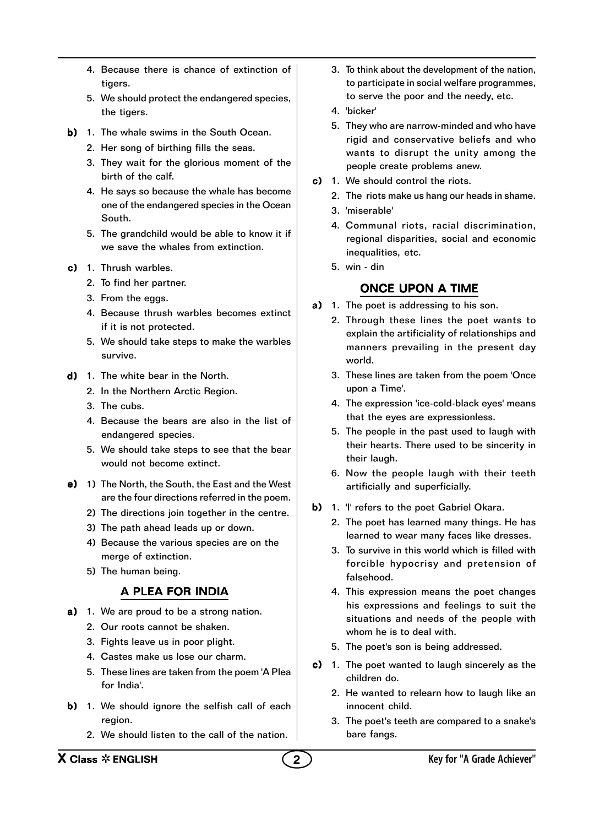- 4. Because there is chance of extinction of tigers.
- 5. We should protect the endangered species, the tigers.
- b) 1. The whale swims in the South Ocean.
	- 2. Her song of birthing fills the seas.
	- 3. They wait for the glorious moment of the birth of the calf.
	- 4. He says so because the whale has become one of the endangered species in the Ocean South.
	- 5. The grandchild would be able to know it if we save the whales from extinction.
- $c)$  1. Thrush warbles.
	- 2. To find her partner.
	- 3. From the eggs.
	- 4. Because thrush warbles becomes extinct if it is not protected.
	- 5. We should take steps to make the warbles survive.
- d) 1. The white bear in the North.
	- 2. In the Northern Arctic Region.
	- 3. The cubs.
	- 4. Because the bears are also in the list of endangered species.
	- 5. We should take steps to see that the bear would not become extinct.
- e) 1) The North, the South, the East and the West are the four directions referred in the poem.
	- 2) The directions join together in the centre.
	- 3) The path ahead leads up or down.
	- 4) Because the various species are on the merge of extinction.
	- 5) The human being.

### A PLEA FOR INDIA

- a) 1. We are proud to be a strong nation.
	- 2. Our roots cannot be shaken.
	- 3. Fights leave us in poor plight.
	- 4. Castes make us lose our charm.
	- 5. These lines are taken from the poem 'A Plea for India'.
- b) 1. We should ignore the selfish call of each region.
	- 2. We should listen to the call of the nation.
- 3. To think about the development of the nation, to participate in social welfare programmes, to serve the poor and the needy, etc.
- 4. 'bicker'
- 5. They who are narrow-minded and who have rigid and conservative beliefs and who wants to disrupt the unity among the people create problems anew.
- c) 1. We should control the riots.
	- 2. The riots make us hang our heads in shame.
	- 3. 'miserable'
	- 4. Communal riots, racial discrimination, regional disparities, social and economic inequalities, etc.
	- 5. win din

## ONCE UPON A TIME

- a) 1. The poet is addressing to his son.
	- 2. Through these lines the poet wants to explain the artificiality of relationships and manners prevailing in the present day world.
	- 3. These lines are taken from the poem 'Once upon a Time'.
	- 4. The expression 'ice-cold-black eyes' means that the eyes are expressionless.
	- 5. The people in the past used to laugh with their hearts. There used to be sincerity in their laugh.
	- 6. Now the people laugh with their teeth artificially and superficially.
- b) 1. 'I' refers to the poet Gabriel Okara.
	- 2. The poet has learned many things. He has learned to wear many faces like dresses.
	- 3. To survive in this world which is filled with forcible hypocrisy and pretension of falsehood.
	- 4. This expression means the poet changes his expressions and feelings to suit the situations and needs of the people with whom he is to deal with.
	- 5. The poet's son is being addressed.
- c) 1. The poet wanted to laugh sincerely as the children do.
	- 2. He wanted to relearn how to laugh like an innocent child.
	- 3. The poet's teeth are compared to a snake's bare fangs.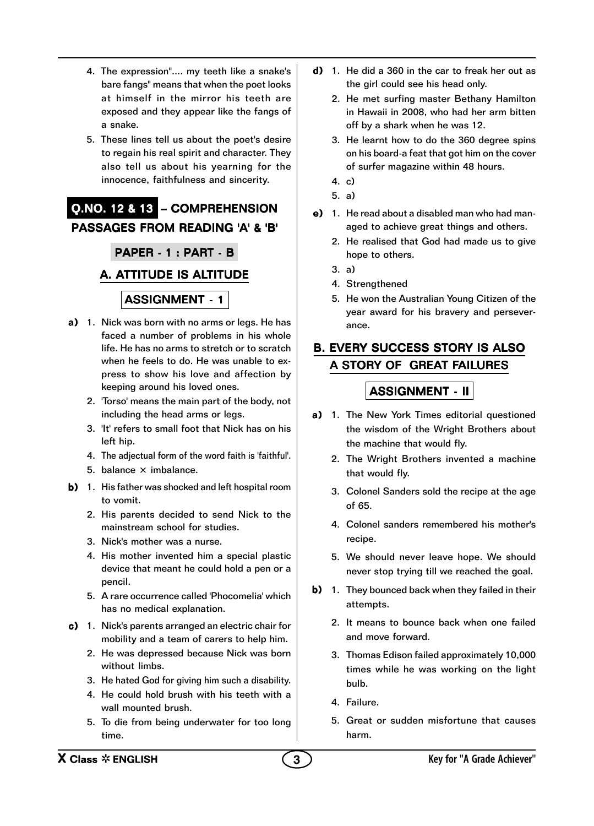- 4. The expression".... my teeth like a snake's bare fangs" means that when the poet looks at himself in the mirror his teeth are exposed and they appear like the fangs of a snake.
- 5. These lines tell us about the poet's desire to regain his real spirit and character. They also tell us about his yearning for the innocence, faithfulness and sincerity.

# Q.NO. 12 & 13 – COMPREHENSION PASSAGES FROM READING 'A' & 'B'

PAPER - 1 : PART - B

#### A. ATTITUDE IS ALTITUDE

#### ASSIGNMENT - 1

- a) 1. Nick was born with no arms or legs. He has faced a number of problems in his whole life. He has no arms to stretch or to scratch when he feels to do. He was unable to express to show his love and affection by keeping around his loved ones.
	- 2. 'Torso' means the main part of the body, not including the head arms or legs.
	- 3. 'It' refers to small foot that Nick has on his left hip.
	- 4. The adjectual form of the word faith is 'faithful'.
	- 5. balance  $\times$  imbalance.
- b) 1. His father was shocked and left hospital room to vomit.
	- 2. His parents decided to send Nick to the mainstream school for studies.
	- 3. Nick's mother was a nurse.
	- 4. His mother invented him a special plastic device that meant he could hold a pen or a pencil.
	- 5. A rare occurrence called 'Phocomelia' which has no medical explanation.
- c) 1. Nick's parents arranged an electric chair for mobility and a team of carers to help him.
	- 2. He was depressed because Nick was born without limbs.
	- 3. He hated God for giving him such a disability.
	- 4. He could hold brush with his teeth with a wall mounted brush.
	- 5. To die from being underwater for too long time.
- d) 1. He did a 360 in the car to freak her out as the girl could see his head only.
	- 2. He met surfing master Bethany Hamilton in Hawaii in 2008, who had her arm bitten off by a shark when he was 12.
	- 3. He learnt how to do the 360 degree spins on his board-a feat that got him on the cover of surfer magazine within 48 hours.
	- 4. c)
	- 5. a)
- e) 1. He read about a disabled man who had managed to achieve great things and others.
	- 2. He realised that God had made us to give hope to others.
	- 3. a)
	- 4. Strengthened
	- 5. He won the Australian Young Citizen of the year award for his bravery and perseverance.

## B. EVERY SUCCESS STORY IS ALSO A STORY OF GREAT FAILURES

- a) 1. The New York Times editorial questioned the wisdom of the Wright Brothers about the machine that would fly.
	- 2. The Wright Brothers invented a machine that would fly.
	- 3. Colonel Sanders sold the recipe at the age of 65.
	- 4. Colonel sanders remembered his mother's recipe.
	- 5. We should never leave hope. We should never stop trying till we reached the goal.
- b) 1. They bounced back when they failed in their attempts.
	- 2. It means to bounce back when one failed and move forward.
	- 3. Thomas Edison failed approximately 10,000 times while he was working on the light bulb.
	- 4. Failure.
	- 5. Great or sudden misfortune that causes harm.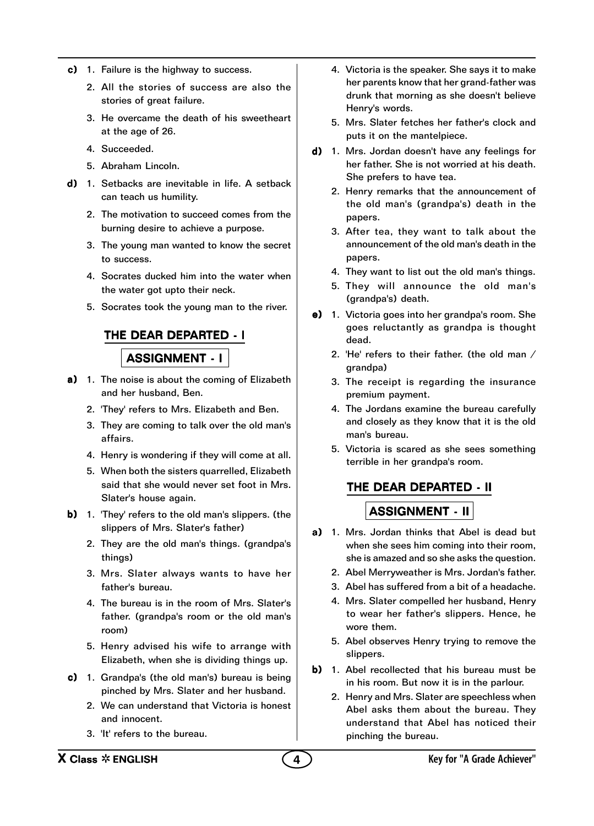- c) 1. Failure is the highway to success.
	- 2. All the stories of success are also the stories of great failure.
	- 3. He overcame the death of his sweetheart at the age of 26.
	- 4. Succeeded.
	- 5. Abraham Lincoln.
- d) 1. Setbacks are inevitable in life. A setback can teach us humility.
	- 2. The motivation to succeed comes from the burning desire to achieve a purpose.
	- 3. The young man wanted to know the secret to success.
	- 4. Socrates ducked him into the water when the water got upto their neck.
	- 5. Socrates took the young man to the river.

#### THE DEAR DEPARTED - I

### **ASSIGNMENT - I**

- a) 1. The noise is about the coming of Elizabeth and her husband, Ben.
	- 2. 'They' refers to Mrs. Elizabeth and Ben.
	- 3. They are coming to talk over the old man's affairs.
	- 4. Henry is wondering if they will come at all.
	- 5. When both the sisters quarrelled, Elizabeth said that she would never set foot in Mrs. Slater's house again.
- b) 1. 'They' refers to the old man's slippers. (the slippers of Mrs. Slater's father)
	- 2. They are the old man's things. (grandpa's things)
	- 3. Mrs. Slater always wants to have her father's bureau.
	- 4. The bureau is in the room of Mrs. Slater's father. (grandpa's room or the old man's room)
	- 5. Henry advised his wife to arrange with Elizabeth, when she is dividing things up.
- c) 1. Grandpa's (the old man's) bureau is being pinched by Mrs. Slater and her husband.
	- 2. We can understand that Victoria is honest and innocent.
	- 3. 'It' refers to the bureau.
- 4. Victoria is the speaker. She says it to make her parents know that her grand-father was drunk that morning as she doesn't believe Henry's words.
- 5. Mrs. Slater fetches her father's clock and puts it on the mantelpiece.
- $d)$  1. Mrs. Jordan doesn't have any feelings for her father. She is not worried at his death. She prefers to have tea.
	- 2. Henry remarks that the announcement of the old man's (grandpa's) death in the papers.
	- 3. After tea, they want to talk about the announcement of the old man's death in the papers.
	- 4. They want to list out the old man's things.
	- 5. They will announce the old man's (grandpa's) death.
- e) 1. Victoria goes into her grandpa's room. She goes reluctantly as grandpa is thought dead.
	- 2. 'He' refers to their father. (the old man / grandpa)
	- 3. The receipt is regarding the insurance premium payment.
	- 4. The Jordans examine the bureau carefully and closely as they know that it is the old man's bureau.
	- 5. Victoria is scared as she sees something terrible in her grandpa's room.

### THE DEAR DEPARTED - II

- a) 1. Mrs. Jordan thinks that Abel is dead but when she sees him coming into their room, she is amazed and so she asks the question.
	- 2. Abel Merryweather is Mrs. Jordan's father.
	- 3. Abel has suffered from a bit of a headache.
	- 4. Mrs. Slater compelled her husband, Henry to wear her father's slippers. Hence, he wore them.
	- 5. Abel observes Henry trying to remove the slippers.
- b) 1. Abel recollected that his bureau must be in his room. But now it is in the parlour.
	- 2. Henry and Mrs. Slater are speechless when Abel asks them about the bureau. They understand that Abel has noticed their pinching the bureau.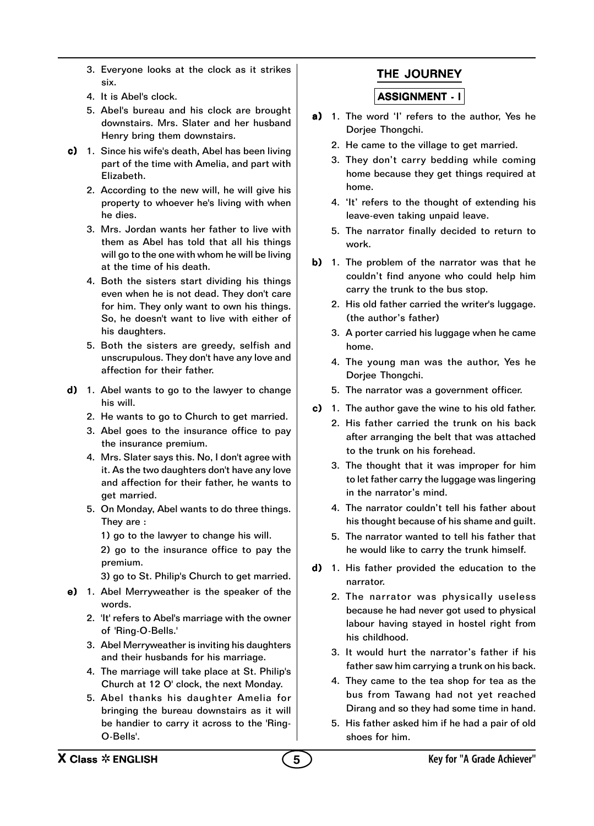- 3. Everyone looks at the clock as it strikes six.
- 4. It is Abel's clock.
- 5. Abel's bureau and his clock are brought downstairs. Mrs. Slater and her husband Henry bring them downstairs.
- c) 1. Since his wife's death, Abel has been living part of the time with Amelia, and part with Elizabeth.
	- 2. According to the new will, he will give his property to whoever he's living with when he dies.
	- 3. Mrs. Jordan wants her father to live with them as Abel has told that all his things will go to the one with whom he will be living at the time of his death.
	- 4. Both the sisters start dividing his things even when he is not dead. They don't care for him. They only want to own his things. So, he doesn't want to live with either of his daughters.
	- 5. Both the sisters are greedy, selfish and unscrupulous. They don't have any love and affection for their father.
- d) 1. Abel wants to go to the lawyer to change his will.
	- 2. He wants to go to Church to get married.
	- 3. Abel goes to the insurance office to pay the insurance premium.
	- 4. Mrs. Slater says this. No, I don't agree with it. As the two daughters don't have any love and affection for their father, he wants to get married.
	- 5. On Monday, Abel wants to do three things. They are :
		- 1) go to the lawyer to change his will.

2) go to the insurance office to pay the premium.

- 3) go to St. Philip's Church to get married.
- $e$ ) 1. Abel Merryweather is the speaker of the words.
	- 2. 'It' refers to Abel's marriage with the owner of 'Ring-O-Bells.'
	- 3. Abel Merryweather is inviting his daughters and their husbands for his marriage.
	- 4. The marriage will take place at St. Philip's Church at 12 O' clock, the next Monday.
	- 5. Abel thanks his daughter Amelia for bringing the bureau downstairs as it will be handier to carry it across to the 'Ring-O-Bells'.

## THE JOURNEY

- a) 1. The word 'I' refers to the author, Yes he Dorjee Thongchi.
	- 2. He came to the village to get married.
	- 3. They don't carry bedding while coming home because they get things required at home.
	- 4. 'It' refers to the thought of extending his leave-even taking unpaid leave.
	- 5. The narrator finally decided to return to work.
- b) 1. The problem of the narrator was that he couldn't find anyone who could help him carry the trunk to the bus stop.
	- 2. His old father carried the writer's luggage. (the author's father)
	- 3. A porter carried his luggage when he came home.
	- 4. The young man was the author, Yes he Dorjee Thongchi.
	- 5. The narrator was a government officer.
- c) 1. The author gave the wine to his old father.
	- 2. His father carried the trunk on his back after arranging the belt that was attached to the trunk on his forehead.
	- 3. The thought that it was improper for him to let father carry the luggage was lingering in the narrator's mind.
	- 4. The narrator couldn't tell his father about his thought because of his shame and guilt.
	- 5. The narrator wanted to tell his father that he would like to carry the trunk himself.
- d) 1. His father provided the education to the narrator.
	- 2. The narrator was physically useless because he had never got used to physical labour having stayed in hostel right from his childhood.
	- 3. It would hurt the narrator's father if his father saw him carrying a trunk on his back.
	- 4. They came to the tea shop for tea as the bus from Tawang had not yet reached Dirang and so they had some time in hand.
	- 5. His father asked him if he had a pair of old shoes for him.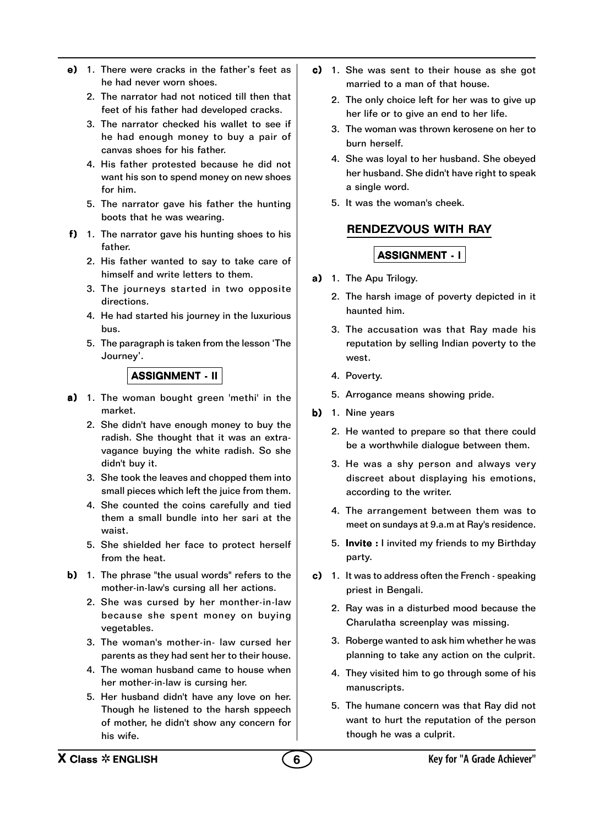- e) 1. There were cracks in the father's feet as he had never worn shoes.
	- 2. The narrator had not noticed till then that feet of his father had developed cracks.
	- 3. The narrator checked his wallet to see if he had enough money to buy a pair of canvas shoes for his father.
	- 4. His father protested because he did not want his son to spend money on new shoes for him.
	- 5. The narrator gave his father the hunting boots that he was wearing.
- f) 1. The narrator gave his hunting shoes to his father.
	- 2. His father wanted to say to take care of himself and write letters to them.
	- 3. The journeys started in two opposite directions.
	- 4. He had started his journey in the luxurious bus.
	- 5. The paragraph is taken from the lesson 'The Journey'.

- a) 1. The woman bought green 'methi' in the market.
	- 2. She didn't have enough money to buy the radish. She thought that it was an extravagance buying the white radish. So she didn't buy it.
	- 3. She took the leaves and chopped them into small pieces which left the juice from them.
	- 4. She counted the coins carefully and tied them a small bundle into her sari at the waist.
	- 5. She shielded her face to protect herself from the heat.
- **b)** 1. The phrase "the usual words" refers to the mother-in-law's cursing all her actions.
	- 2. She was cursed by her monther-in-law because she spent money on buying vegetables.
	- 3. The woman's mother-in- law cursed her parents as they had sent her to their house.
	- 4. The woman husband came to house when her mother-in-law is cursing her.
	- 5. Her husband didn't have any love on her. Though he listened to the harsh sppeech of mother, he didn't show any concern for his wife.
- $c)$  1. She was sent to their house as she got married to a man of that house.
	- 2. The only choice left for her was to give up her life or to give an end to her life.
	- 3. The woman was thrown kerosene on her to burn herself.
	- 4. She was loyal to her husband. She obeyed her husband. She didn't have right to speak a single word.
	- 5. It was the woman's cheek.

#### RENDEZVOUS WITH RAY

- a) 1. The Apu Trilogy.
	- 2. The harsh image of poverty depicted in it haunted him.
	- 3. The accusation was that Ray made his reputation by selling Indian poverty to the west.
	- 4. Poverty.
	- 5. Arrogance means showing pride.
- b) 1. Nine years
	- 2. He wanted to prepare so that there could be a worthwhile dialogue between them.
	- 3. He was a shy person and always very discreet about displaying his emotions, according to the writer.
	- 4. The arrangement between them was to meet on sundays at 9.a.m at Ray's residence.
	- 5. Invite : I invited my friends to my Birthday party.
- c) 1. It was to address often the French speaking priest in Bengali.
	- 2. Ray was in a disturbed mood because the Charulatha screenplay was missing.
	- 3. Roberge wanted to ask him whether he was planning to take any action on the culprit.
	- 4. They visited him to go through some of his manuscripts.
	- 5. The humane concern was that Ray did not want to hurt the reputation of the person though he was a culprit.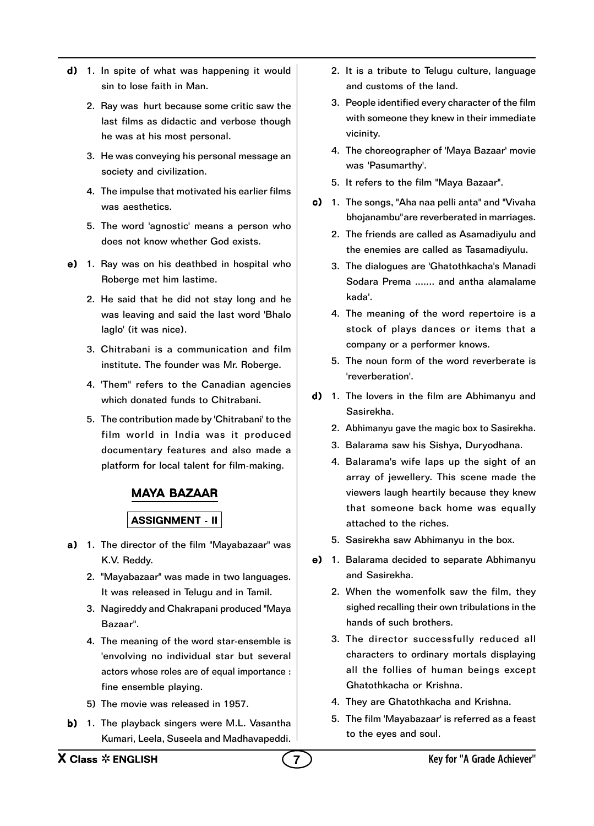- $d)$  1. In spite of what was happening it would sin to lose faith in Man.
	- 2. Ray was hurt because some critic saw the last films as didactic and verbose though he was at his most personal.
	- 3. He was conveying his personal message an society and civilization.
	- 4. The impulse that motivated his earlier films was aesthetics.
	- 5. The word 'agnostic' means a person who does not know whether God exists.
- $e)$  1. Ray was on his deathbed in hospital who Roberge met him lastime.
	- 2. He said that he did not stay long and he was leaving and said the last word 'Bhalo laglo' (it was nice).
	- 3. Chitrabani is a communication and film institute. The founder was Mr. Roberge.
	- 4. 'Them" refers to the Canadian agencies which donated funds to Chitrabani.
	- 5. The contribution made by 'Chitrabani' to the film world in India was it produced documentary features and also made a platform for local talent for film-making.

#### MAYA BAZAAR

- a) 1. The director of the film "Mayabazaar" was K.V. Reddy.
	- 2. "Mayabazaar" was made in two languages. It was released in Telugu and in Tamil.
	- 3. Nagireddy and Chakrapani produced "Maya Bazaar".
	- 4. The meaning of the word star-ensemble is 'envolving no individual star but several actors whose roles are of equal importance : fine ensemble playing.
	- 5) The movie was released in 1957.
- b) 1. The playback singers were M.L. Vasantha Kumari, Leela, Suseela and Madhavapeddi.
- 2. It is a tribute to Telugu culture, language and customs of the land.
- 3. People identified every character of the film with someone they knew in their immediate vicinity.
- 4. The choreographer of 'Maya Bazaar' movie was 'Pasumarthy'.
- 5. It refers to the film "Maya Bazaar".
- c) 1. The songs, "Aha naa pelli anta" and "Vivaha bhojanambu"are reverberated in marriages.
	- 2. The friends are called as Asamadiyulu and the enemies are called as Tasamadiyulu.
	- 3. The dialogues are 'Ghatothkacha's Manadi Sodara Prema ....... and antha alamalame kada'.
	- 4. The meaning of the word repertoire is a stock of plays dances or items that a company or a performer knows.
	- 5. The noun form of the word reverberate is 'reverberation'.
- $d)$  1. The lovers in the film are Abhimanyu and Sasirekha.
	- 2. Abhimanyu gave the magic box to Sasirekha.
	- 3. Balarama saw his Sishya, Duryodhana.
	- 4. Balarama's wife laps up the sight of an array of jewellery. This scene made the viewers laugh heartily because they knew that someone back home was equally attached to the riches.
	- 5. Sasirekha saw Abhimanyu in the box.
- e) 1. Balarama decided to separate Abhimanyu and Sasirekha.
	- 2. When the womenfolk saw the film, they sighed recalling their own tribulations in the hands of such brothers.
	- 3. The director successfully reduced all characters to ordinary mortals displaying all the follies of human beings except Ghatothkacha or Krishna.
	- 4. They are Ghatothkacha and Krishna.
	- 5. The film 'Mayabazaar' is referred as a feast to the eyes and soul.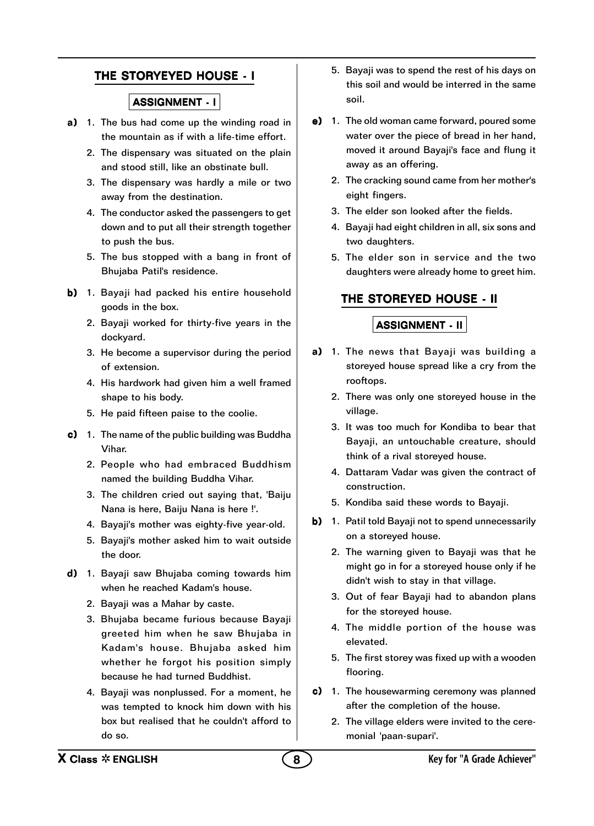#### THE STORYEYED HOUSE - I

#### ASSIGNMENT - I

- a) 1. The bus had come up the winding road in the mountain as if with a life-time effort.
	- 2. The dispensary was situated on the plain and stood still, like an obstinate bull.
	- 3. The dispensary was hardly a mile or two away from the destination.
	- 4. The conductor asked the passengers to get down and to put all their strength together to push the bus.
	- 5. The bus stopped with a bang in front of Bhujaba Patil's residence.
- b) 1. Bayaji had packed his entire household goods in the box.
	- 2. Bayaji worked for thirty-five years in the dockyard.
	- 3. He become a supervisor during the period of extension.
	- 4. His hardwork had given him a well framed shape to his body.
	- 5. He paid fifteen paise to the coolie.
- c) 1. The name of the public building was Buddha Vihar.
	- 2. People who had embraced Buddhism named the building Buddha Vihar.
	- 3. The children cried out saying that, 'Baiju Nana is here, Baiju Nana is here !'.
	- 4. Bayaji's mother was eighty-five year-old.
	- 5. Bayaji's mother asked him to wait outside the door.
- d) 1. Bayaji saw Bhujaba coming towards him when he reached Kadam's house.
	- 2. Bayaji was a Mahar by caste.
	- 3. Bhujaba became furious because Bayaji greeted him when he saw Bhujaba in Kadam's house. Bhujaba asked him whether he forgot his position simply because he had turned Buddhist.
	- 4. Bayaji was nonplussed. For a moment, he was tempted to knock him down with his box but realised that he couldn't afford to do so.
- 5. Bayaji was to spend the rest of his days on this soil and would be interred in the same soil.
- $e)$  1. The old woman came forward, poured some water over the piece of bread in her hand, moved it around Bayaji's face and flung it away as an offering.
	- 2. The cracking sound came from her mother's eight fingers.
	- 3. The elder son looked after the fields.
	- 4. Bayaji had eight children in all, six sons and two daughters.
	- 5. The elder son in service and the two daughters were already home to greet him.

## THE STOREYED HOUSE - II

- a) 1. The news that Bayaji was building a storeyed house spread like a cry from the rooftops.
	- 2. There was only one storeyed house in the village.
	- 3. It was too much for Kondiba to bear that Bayaji, an untouchable creature, should think of a rival storeyed house.
	- 4. Dattaram Vadar was given the contract of construction.
	- 5. Kondiba said these words to Bayaji.
- b) 1. Patil told Bayaji not to spend unnecessarily on a storeyed house.
	- 2. The warning given to Bayaji was that he might go in for a storeyed house only if he didn't wish to stay in that village.
	- 3. Out of fear Bayaji had to abandon plans for the storeyed house.
	- 4. The middle portion of the house was elevated.
	- 5. The first storey was fixed up with a wooden flooring.
- $c)$  1. The housewarming ceremony was planned after the completion of the house.
	- 2. The village elders were invited to the ceremonial 'paan-supari'.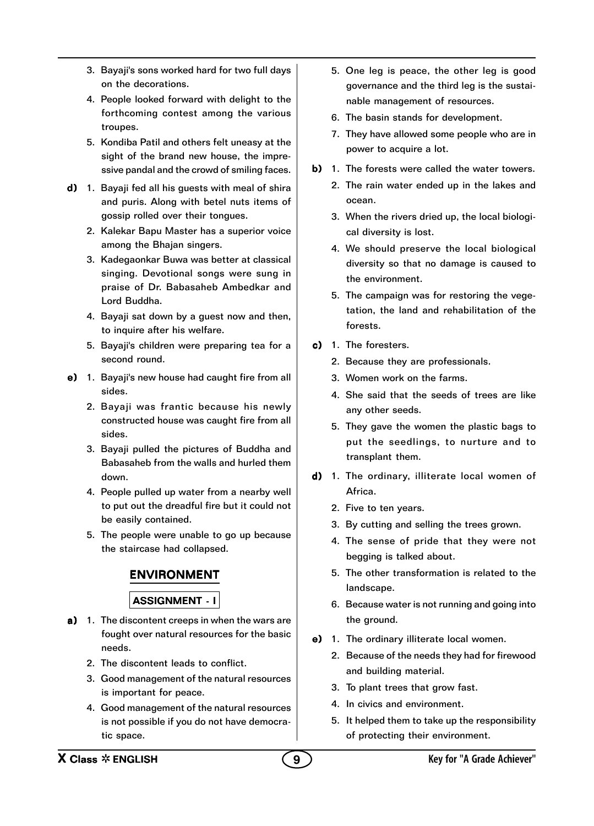- 3. Bayaji's sons worked hard for two full days on the decorations.
- 4. People looked forward with delight to the forthcoming contest among the various troupes.
- 5. Kondiba Patil and others felt uneasy at the sight of the brand new house, the impressive pandal and the crowd of smiling faces.
- d) 1. Bayaji fed all his guests with meal of shira and puris. Along with betel nuts items of gossip rolled over their tongues.
	- 2. Kalekar Bapu Master has a superior voice among the Bhajan singers.
	- 3. Kadegaonkar Buwa was better at classical singing. Devotional songs were sung in praise of Dr. Babasaheb Ambedkar and Lord Buddha.
	- 4. Bayaji sat down by a guest now and then, to inquire after his welfare.
	- 5. Bayaji's children were preparing tea for a second round.
- e) 1. Bayaji's new house had caught fire from all sides.
	- 2. Bayaji was frantic because his newly constructed house was caught fire from all sides.
	- 3. Bayaji pulled the pictures of Buddha and Babasaheb from the walls and hurled them down.
	- 4. People pulled up water from a nearby well to put out the dreadful fire but it could not be easily contained.
	- 5. The people were unable to go up because the staircase had collapsed.

## ENVIRONMENT

- a) 1. The discontent creeps in when the wars are fought over natural resources for the basic needs.
	- 2. The discontent leads to conflict.
	- 3. Good management of the natural resources is important for peace.
	- 4. Good management of the natural resources is not possible if you do not have democratic space.
- 5. One leg is peace, the other leg is good governance and the third leg is the sustainable management of resources.
- 6. The basin stands for development.
- 7. They have allowed some people who are in power to acquire a lot.
- b) 1. The forests were called the water towers.
	- 2. The rain water ended up in the lakes and ocean.
	- 3. When the rivers dried up, the local biological diversity is lost.
	- 4. We should preserve the local biological diversity so that no damage is caused to the environment.
	- 5. The campaign was for restoring the vegetation, the land and rehabilitation of the forests.
- c) 1. The foresters.
	- 2. Because they are professionals.
	- 3. Women work on the farms.
	- 4. She said that the seeds of trees are like any other seeds.
	- 5. They gave the women the plastic bags to put the seedlings, to nurture and to transplant them.
- d) 1. The ordinary, illiterate local women of Africa.
	- 2. Five to ten years.
	- 3. By cutting and selling the trees grown.
	- 4. The sense of pride that they were not begging is talked about.
	- 5. The other transformation is related to the landscape.
	- 6. Because water is not running and going into the ground.
- e) 1. The ordinary illiterate local women.
	- 2. Because of the needs they had for firewood and building material.
	- 3. To plant trees that grow fast.
	- 4. In civics and environment.
	- 5. It helped them to take up the responsibility of protecting their environment.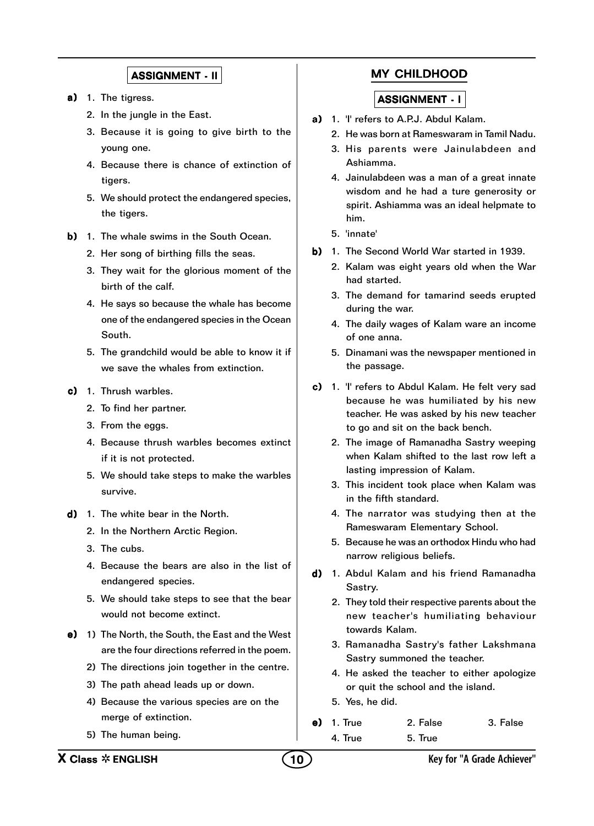- a) 1. The tigress.
	- 2. In the jungle in the East.
	- 3. Because it is going to give birth to the young one.
	- 4. Because there is chance of extinction of tigers.
	- 5. We should protect the endangered species, the tigers.
- b) 1. The whale swims in the South Ocean.
	- 2. Her song of birthing fills the seas.
	- 3. They wait for the glorious moment of the birth of the calf.
	- 4. He says so because the whale has become one of the endangered species in the Ocean South.
	- 5. The grandchild would be able to know it if we save the whales from extinction.
- c) 1. Thrush warbles.
	- 2. To find her partner.
	- 3. From the eggs.
	- 4. Because thrush warbles becomes extinct if it is not protected.
	- 5. We should take steps to make the warbles survive.
- d) 1. The white bear in the North.
	- 2. In the Northern Arctic Region.
	- 3. The cubs.
	- 4. Because the bears are also in the list of endangered species.
	- 5. We should take steps to see that the bear would not become extinct.
- e) 1) The North, the South, the East and the West are the four directions referred in the poem.
	- 2) The directions join together in the centre.
	- 3) The path ahead leads up or down.
	- 4) Because the various species are on the merge of extinction.
	- 5) The human being.

### MY CHILDHOOD

- a) 1. 'I' refers to A.P.J. Abdul Kalam.
	- 2. He was born at Rameswaram in Tamil Nadu.
	- 3. His parents were Jainulabdeen and Ashiamma.
	- 4. Jainulabdeen was a man of a great innate wisdom and he had a ture generosity or spirit. Ashiamma was an ideal helpmate to him.
	- 5. 'innate'
- b) 1. The Second World War started in 1939.
	- 2. Kalam was eight years old when the War had started.
	- 3. The demand for tamarind seeds erupted during the war.
	- 4. The daily wages of Kalam ware an income of one anna.
	- 5. Dinamani was the newspaper mentioned in the passage.
- c) 1. 'I' refers to Abdul Kalam. He felt very sad because he was humiliated by his new teacher. He was asked by his new teacher to go and sit on the back bench.
	- 2. The image of Ramanadha Sastry weeping when Kalam shifted to the last row left a lasting impression of Kalam.
	- 3. This incident took place when Kalam was in the fifth standard.
	- 4. The narrator was studying then at the Rameswaram Elementary School.
	- 5. Because he was an orthodox Hindu who had narrow religious beliefs.
- d) 1. Abdul Kalam and his friend Ramanadha Sastry.
	- 2. They told their respective parents about the new teacher's humiliating behaviour towards Kalam.
	- 3. Ramanadha Sastry's father Lakshmana Sastry summoned the teacher.
	- 4. He asked the teacher to either apologize or quit the school and the island.
	- 5. Yes, he did.
- e) 1. True 2. False 3. False 4. True 5. True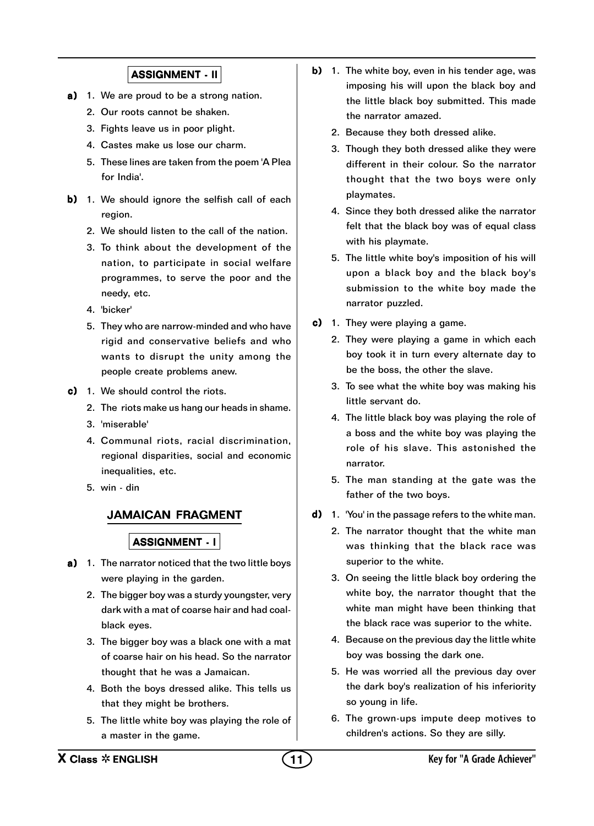- a) 1. We are proud to be a strong nation.
	- 2. Our roots cannot be shaken.
	- 3. Fights leave us in poor plight.
	- 4. Castes make us lose our charm.
	- 5. These lines are taken from the poem 'A Plea for India'.
- b) 1. We should ignore the selfish call of each region.
	- 2. We should listen to the call of the nation.
	- 3. To think about the development of the nation, to participate in social welfare programmes, to serve the poor and the needy, etc.
	- 4. 'bicker'
	- 5. They who are narrow-minded and who have rigid and conservative beliefs and who wants to disrupt the unity among the people create problems anew.
- $c)$  1. We should control the riots.
	- 2. The riots make us hang our heads in shame.
	- 3. 'miserable'
	- 4. Communal riots, racial discrimination, regional disparities, social and economic inequalities, etc.
	- 5. win din

#### JAMAICAN FRAGMENT

- a) 1. The narrator noticed that the two little boys were playing in the garden.
	- 2. The bigger boy was a sturdy youngster, very dark with a mat of coarse hair and had coalblack eyes.
	- 3. The bigger boy was a black one with a mat of coarse hair on his head. So the narrator thought that he was a Jamaican.
	- 4. Both the boys dressed alike. This tells us that they might be brothers.
	- 5. The little white boy was playing the role of a master in the game.
- b) 1. The white boy, even in his tender age, was imposing his will upon the black boy and the little black boy submitted. This made the narrator amazed.
	- 2. Because they both dressed alike.
	- 3. Though they both dressed alike they were different in their colour. So the narrator thought that the two boys were only playmates.
	- 4. Since they both dressed alike the narrator felt that the black boy was of equal class with his playmate.
	- 5. The little white boy's imposition of his will upon a black boy and the black boy's submission to the white boy made the narrator puzzled.
- c) 1. They were playing a game.
	- 2. They were playing a game in which each boy took it in turn every alternate day to be the boss, the other the slave.
	- 3. To see what the white boy was making his little servant do.
	- 4. The little black boy was playing the role of a boss and the white boy was playing the role of his slave. This astonished the narrator.
	- 5. The man standing at the gate was the father of the two boys.
- d) 1. 'You' in the passage refers to the white man.
	- 2. The narrator thought that the white man was thinking that the black race was superior to the white.
	- 3. On seeing the little black boy ordering the white boy, the narrator thought that the white man might have been thinking that the black race was superior to the white.
	- 4. Because on the previous day the little white boy was bossing the dark one.
	- 5. He was worried all the previous day over the dark boy's realization of his inferiority so young in life.
	- 6. The grown-ups impute deep motives to children's actions. So they are silly.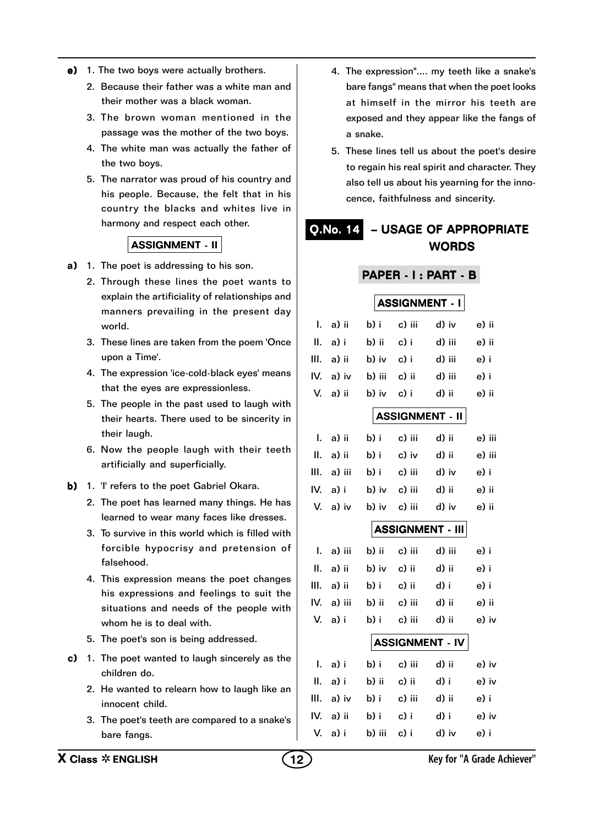- e) 1. The two boys were actually brothers.
	- 2. Because their father was a white man and their mother was a black woman.
	- 3. The brown woman mentioned in the passage was the mother of the two boys.
	- 4. The white man was actually the father of the two boys.
	- 5. The narrator was proud of his country and his people. Because, the felt that in his country the blacks and whites live in harmony and respect each other.

- a) 1. The poet is addressing to his son.
	- 2. Through these lines the poet wants to explain the artificiality of relationships and manners prevailing in the present day world.
	- 3. These lines are taken from the poem 'Once upon a Time'.
	- 4. The expression 'ice-cold-black eyes' means that the eyes are expressionless.
	- 5. The people in the past used to laugh with their hearts. There used to be sincerity in their laugh.
	- 6. Now the people laugh with their teeth artificially and superficially.
- b) 1. 'I' refers to the poet Gabriel Okara.
	- 2. The poet has learned many things. He has learned to wear many faces like dresses.
	- 3. To survive in this world which is filled with forcible hypocrisy and pretension of falsehood.
	- 4. This expression means the poet changes his expressions and feelings to suit the situations and needs of the people with whom he is to deal with.
	- 5. The poet's son is being addressed.
- c) 1. The poet wanted to laugh sincerely as the children do.
	- 2. He wanted to relearn how to laugh like an innocent child.
	- 3. The poet's teeth are compared to a snake's bare fangs.
- 4. The expression".... my teeth like a snake's bare fangs" means that when the poet looks at himself in the mirror his teeth are exposed and they appear like the fangs of a snake.
- 5. These lines tell us about the poet's desire to regain his real spirit and character. They also tell us about his yearning for the innocence, faithfulness and sincerity.

## Q.No. 14 – USAGE OF APPROPRIATE WORDS

#### PAPER - I : PART - B

**ASSIGNMENT - I** I. a) ii b) i c) iii d) iv e) ii II. a) i b) ii c) i d) iii e) ii III. a) ii b) iv c) i d) iii e) i IV. a) iv b) iii c) ii d) iii e) i V. a) ii b) iv c) i d) ii e) ii **ASSIGNMENT - II** I. a) ii b) i c) iii d) ii e) iii II. a) ii b) i c) iv d) ii e) iii III. a) iii b) i c) iii d) iv e) i IV. a) i b) iv c) iii d) ii e) ii V. a) iv b) iv c) iii d) iv e) ii ASSIGNMENT - III I. a) iii b) ii c) iii d) iii e) i II. a) ii b) iv c) ii d) ii e) i III. a) ii b) i c) ii d) i e) i IV. a) iii b) ii c) iii d) ii e) ii V. a) i b) i c) iii d) ii e) iv ASSIGNMENT - IV I. a) i b) i c) iii d) ii e) iv

| 1. a <i>j</i> 1 | ו נט   | - 67 HH | u u   | UJ IV |
|-----------------|--------|---------|-------|-------|
| II. a)i         | b) ii  | c) ii   | d) i  | e) iv |
| III. a) iv      | b) i   | c) iii  | d) ii | e) i  |
| IV. a) ii       | b) i   | c) i    | d) i  | e) iv |
| V. a) i         | b) iii | c) i    | d) iv | e) i  |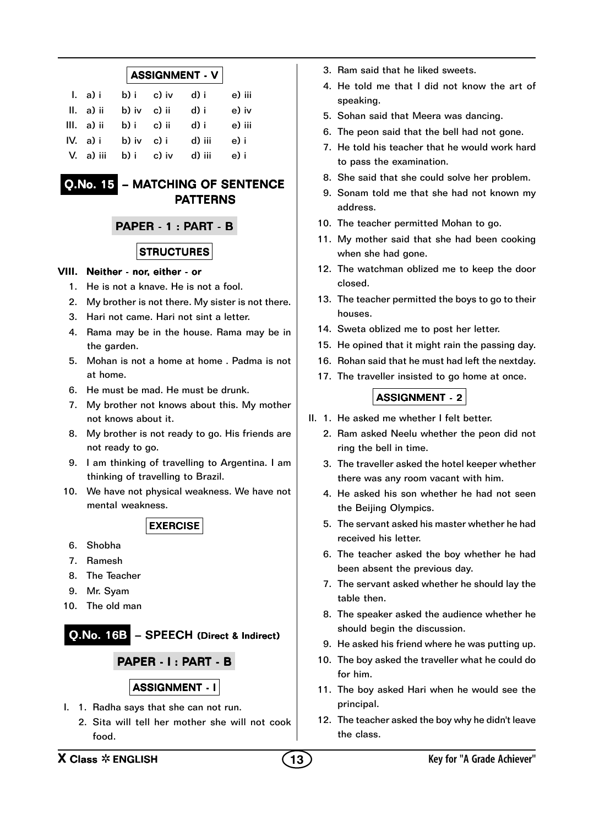#### $|$  ASSIGNMENT  $\cdot$  V  $|$

| l. a) i      | b) i  | c) iv | d) i   | e) iii |
|--------------|-------|-------|--------|--------|
| $II. a)$ ii  | b) iv | c) ii | d) i   | e) iv  |
| $III. a)$ ii | b) i  | c) ii | d) i   | e) iii |
| $IV. a)$ i   | b) iv | c) i  | d) iii | e) i   |
| V. a) iii    | b) i  | c) iv | d) iii | e) i   |

## Q.No. 15 – MATCHING OF SENTENCE PATTERNS

### PAPER - 1 : PART - B

#### **STRUCTURES**

#### VIII. Neither - nor, either - or

- 1. He is not a knave. He is not a fool.
- 2. My brother is not there. My sister is not there.
- 3. Hari not came. Hari not sint a letter.
- 4. Rama may be in the house. Rama may be in the garden.
- 5. Mohan is not a home at home . Padma is not at home.
- 6. He must be mad. He must be drunk.
- 7. My brother not knows about this. My mother not knows about it.
- 8. My brother is not ready to go. His friends are not ready to go.
- 9. I am thinking of travelling to Argentina. I am thinking of travelling to Brazil.
- 10. We have not physical weakness. We have not mental weakness.

EXERCISE

- 6. Shobha
- 7. Ramesh
- 8. The Teacher
- 9. Mr. Syam
- 10. The old man

Q.No. 16B - SPEECH (Direct & Indirect)

PAPER - I : PART - B

### ASSIGNMENT - I

- I. 1. Radha says that she can not run.
	- 2. Sita will tell her mother she will not cook food.
- 3. Ram said that he liked sweets.
- 4. He told me that I did not know the art of speaking.
- 5. Sohan said that Meera was dancing.
- 6. The peon said that the bell had not gone.
- 7. He told his teacher that he would work hard to pass the examination.
- 8. She said that she could solve her problem.
- 9. Sonam told me that she had not known my address.
- 10. The teacher permitted Mohan to go.
- 11. My mother said that she had been cooking when she had gone.
- 12. The watchman oblized me to keep the door closed.
- 13. The teacher permitted the boys to go to their houses.
- 14. Sweta oblized me to post her letter.
- 15. He opined that it might rain the passing day.
- 16. Rohan said that he must had left the nextday.
- 17. The traveller insisted to go home at once.

- II. 1. He asked me whether I felt better.
	- 2. Ram asked Neelu whether the peon did not ring the bell in time.
	- 3. The traveller asked the hotel keeper whether there was any room vacant with him.
	- 4. He asked his son whether he had not seen the Beijing Olympics.
	- 5. The servant asked his master whether he had received his letter.
	- 6. The teacher asked the boy whether he had been absent the previous day.
	- 7. The servant asked whether he should lay the table then.
	- 8. The speaker asked the audience whether he should begin the discussion.
	- 9. He asked his friend where he was putting up.
	- 10. The boy asked the traveller what he could do for him.
	- 11. The boy asked Hari when he would see the principal.
	- 12. The teacher asked the boy why he didn't leave the class.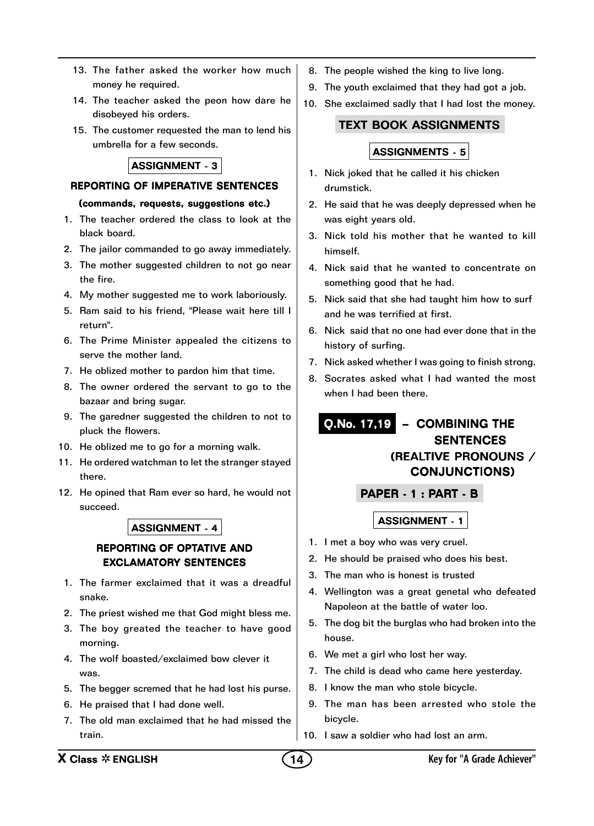- 13. The father asked the worker how much money he required.
- 14. The teacher asked the peon how dare he disobeyed his orders.
- 15. The customer requested the man to lend his umbrella for a few seconds.

#### REPORTING OF IMPERATIVE SENTENCES

#### (commands, requests, suggestions etc.)

- 1. The teacher ordered the class to look at the black board.
- 2. The jailor commanded to go away immediately.
- 3. The mother suggested children to not go near the fire.
- 4. My mother suggested me to work laboriously.
- 5. Ram said to his friend, "Please wait here till I return".
- 6. The Prime Minister appealed the citizens to serve the mother land.
- 7. He oblized mother to pardon him that time.
- 8. The owner ordered the servant to go to the bazaar and bring sugar.
- 9. The garedner suggested the children to not to pluck the flowers.
- 10. He oblized me to go for a morning walk.
- 11. He ordered watchman to let the stranger stayed there.
- 12. He opined that Ram ever so hard, he would not succeed.

#### ASSIGNMENT - 4

#### REPORTING OF OPTATIVE AND EXCLAMATORY SENTENCES

- 1. The farmer exclaimed that it was a dreadful snake.
- 2. The priest wished me that God might bless me.
- 3. The boy greated the teacher to have good morning.
- 4. The wolf boasted/exclaimed bow clever it was.
- 5. The begger scremed that he had lost his purse.
- 6. He praised that I had done well.
- 7. The old man exclaimed that he had missed the train.
- 8. The people wished the king to live long.
- 9. The youth exclaimed that they had got a job.
- 10. She exclaimed sadly that I had lost the money.

#### TEXT BOOK ASSIGNMENTS

### ASSIGNMENTS - 5

- 1. Nick joked that he called it his chicken drumstick.
- 2. He said that he was deeply depressed when he was eight years old.
- 3. Nick told his mother that he wanted to kill himself.
- 4. Nick said that he wanted to concentrate on something good that he had.
- 5. Nick said that she had taught him how to surf and he was terrified at first.
- 6. Nick said that no one had ever done that in the history of surfing.
- 7. Nick asked whether I was going to finish strong.
- 8. Socrates asked what I had wanted the most when I had been there.

## Q.No. 17,19 – COMBINING THE **SENTENCES** (REALTIVE PRONOUNS / CONJUNCTIONS)

#### PAPER - 1 : PART - B

- 1. I met a boy who was very cruel.
- 2. He should be praised who does his best.
- 3. The man who is honest is trusted
- 4. Wellington was a great genetal who defeated Napoleon at the battle of water loo.
- 5. The dog bit the burglas who had broken into the house.
- 6. We met a girl who lost her way.
- 7. The child is dead who came here yesterday.
- 8. I know the man who stole bicycle.
- 9. The man has been arrested who stole the bicycle.
- 10. I saw a soldier who had lost an arm.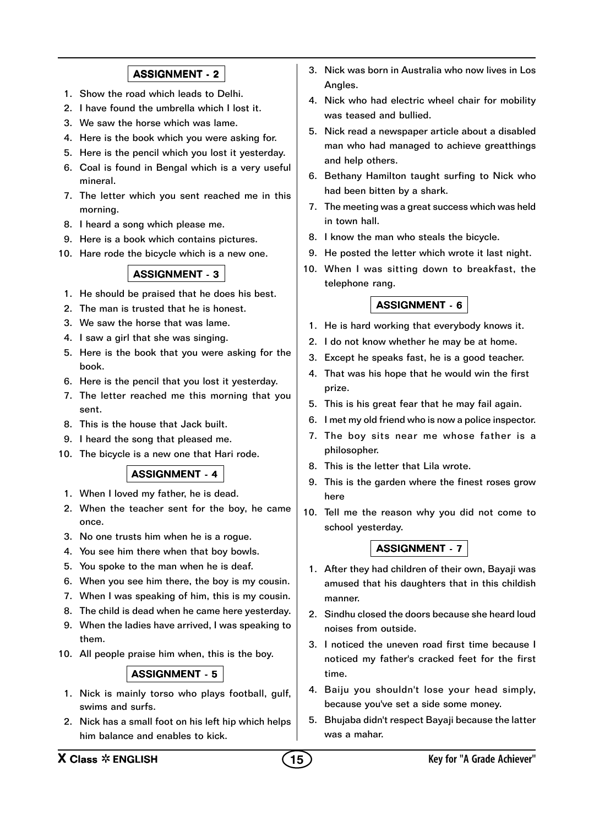- 1. Show the road which leads to Delhi.
- 2. I have found the umbrella which I lost it.
- 3. We saw the horse which was lame.
- 4. Here is the book which you were asking for.
- 5. Here is the pencil which you lost it yesterday.
- 6. Coal is found in Bengal which is a very useful mineral.
- 7. The letter which you sent reached me in this morning.
- 8. I heard a song which please me.
- 9. Here is a book which contains pictures.
- 10. Hare rode the bicycle which is a new one.

## ASSIGNMENT - 3

- 1. He should be praised that he does his best.
- 2. The man is trusted that he is honest.
- 3. We saw the horse that was lame.
- 4. I saw a girl that she was singing.
- 5. Here is the book that you were asking for the book.
- 6. Here is the pencil that you lost it yesterday.
- 7. The letter reached me this morning that you sent.
- 8. This is the house that Jack built.
- 9. I heard the song that pleased me.
- 10. The bicycle is a new one that Hari rode.

## ASSIGNMENT - 4

- 1. When I loved my father, he is dead.
- 2. When the teacher sent for the boy, he came once.
- 3. No one trusts him when he is a rogue.
- 4. You see him there when that boy bowls.
- 5. You spoke to the man when he is deaf.
- 6. When you see him there, the boy is my cousin.
- 7. When I was speaking of him, this is my cousin.
- 8. The child is dead when he came here yesterday.
- 9. When the ladies have arrived, I was speaking to them.
- 10. All people praise him when, this is the boy.

#### ASSIGNMENT - 5

- 1. Nick is mainly torso who plays football, gulf, swims and surfs.
- 2. Nick has a small foot on his left hip which helps him balance and enables to kick.
- 3. Nick was born in Australia who now lives in Los Angles.
- 4. Nick who had electric wheel chair for mobility was teased and bullied.
- 5. Nick read a newspaper article about a disabled man who had managed to achieve greatthings and help others.
- 6. Bethany Hamilton taught surfing to Nick who had been bitten by a shark.
- 7. The meeting was a great success which was held in town hall.
- 8. I know the man who steals the bicycle.
- 9. He posted the letter which wrote it last night.
- 10. When I was sitting down to breakfast, the telephone rang.

#### ASSIGNMENT - 6

- 1. He is hard working that everybody knows it.
- 2. I do not know whether he may be at home.
- 3. Except he speaks fast, he is a good teacher.
- 4. That was his hope that he would win the first prize.
- 5. This is his great fear that he may fail again.
- 6. I met my old friend who is now a police inspector.
- 7. The boy sits near me whose father is a philosopher.
- 8. This is the letter that Lila wrote.
- 9. This is the garden where the finest roses grow here
- 10. Tell me the reason why you did not come to school yesterday.

- 1. After they had children of their own, Bayaji was amused that his daughters that in this childish manner.
- 2. Sindhu closed the doors because she heard loud noises from outside.
- 3. I noticed the uneven road first time because I noticed my father's cracked feet for the first time.
- 4. Baiju you shouldn't lose your head simply, because you've set a side some money.
- 5. Bhujaba didn't respect Bayaji because the latter was a mahar.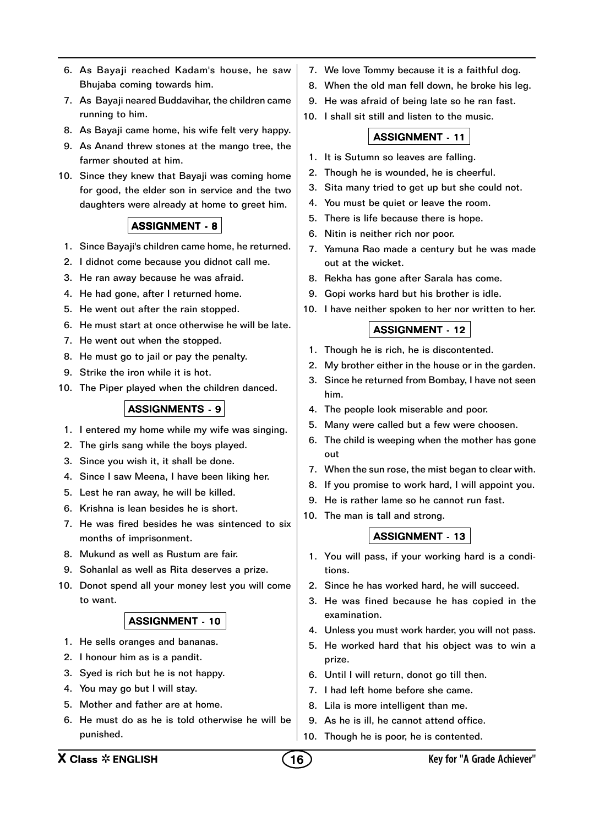- 6. As Bayaji reached Kadam's house, he saw Bhujaba coming towards him.
- 7. As Bayaji neared Buddavihar, the children came running to him.
- 8. As Bayaji came home, his wife felt very happy.
- 9. As Anand threw stones at the mango tree, the farmer shouted at him.
- 10. Since they knew that Bayaji was coming home for good, the elder son in service and the two daughters were already at home to greet him.

- 1. Since Bayaji's children came home, he returned.
- 2. I didnot come because you didnot call me.
- 3. He ran away because he was afraid.
- 4. He had gone, after I returned home.
- 5. He went out after the rain stopped.
- 6. He must start at once otherwise he will be late.
- 7. He went out when the stopped.
- 8. He must go to jail or pay the penalty.
- 9. Strike the iron while it is hot.
- 10. The Piper played when the children danced.

#### ASSIGNMENTS - 9

- 1. I entered my home while my wife was singing.
- 2. The girls sang while the boys played.
- 3. Since you wish it, it shall be done.
- 4. Since I saw Meena, I have been liking her.
- 5. Lest he ran away, he will be killed.
- 6. Krishna is lean besides he is short.
- 7. He was fired besides he was sintenced to six months of imprisonment.
- 8. Mukund as well as Rustum are fair.
- 9. Sohanlal as well as Rita deserves a prize.
- 10. Donot spend all your money lest you will come to want.

#### ASSIGNMENT - 10

- 1. He sells oranges and bananas.
- 2. I honour him as is a pandit.
- 3. Syed is rich but he is not happy.
- 4. You may go but I will stay.
- 5. Mother and father are at home.
- 6. He must do as he is told otherwise he will be punished.
- 7. We love Tommy because it is a faithful dog.
- 8. When the old man fell down, he broke his leg.
- 9. He was afraid of being late so he ran fast.
- 10. I shall sit still and listen to the music.

#### ASSIGNMENT - 11

- 1. It is Sutumn so leaves are falling.
- 2. Though he is wounded, he is cheerful.
- 3. Sita many tried to get up but she could not.
- 4. You must be quiet or leave the room.
- 5. There is life because there is hope.
- 6. Nitin is neither rich nor poor.
- 7. Yamuna Rao made a century but he was made out at the wicket.
- 8. Rekha has gone after Sarala has come.
- 9. Gopi works hard but his brother is idle.
- 10. I have neither spoken to her nor written to her.

#### ASSIGNMENT - 12

- 1. Though he is rich, he is discontented.
- 2. My brother either in the house or in the garden.
- 3. Since he returned from Bombay, I have not seen him.
- 4. The people look miserable and poor.
- 5. Many were called but a few were choosen.
- 6. The child is weeping when the mother has gone out
- 7. When the sun rose, the mist began to clear with.
- 8. If you promise to work hard, I will appoint you.
- 9. He is rather lame so he cannot run fast.
- 10. The man is tall and strong.

- 1. You will pass, if your working hard is a conditions.
- 2. Since he has worked hard, he will succeed.
- 3. He was fined because he has copied in the examination.
- 4. Unless you must work harder, you will not pass.
- 5. He worked hard that his object was to win a prize.
- 6. Until I will return, donot go till then.
- 7. I had left home before she came.
- 8. Lila is more intelligent than me.
- 9. As he is ill, he cannot attend office.
- 10. Though he is poor, he is contented.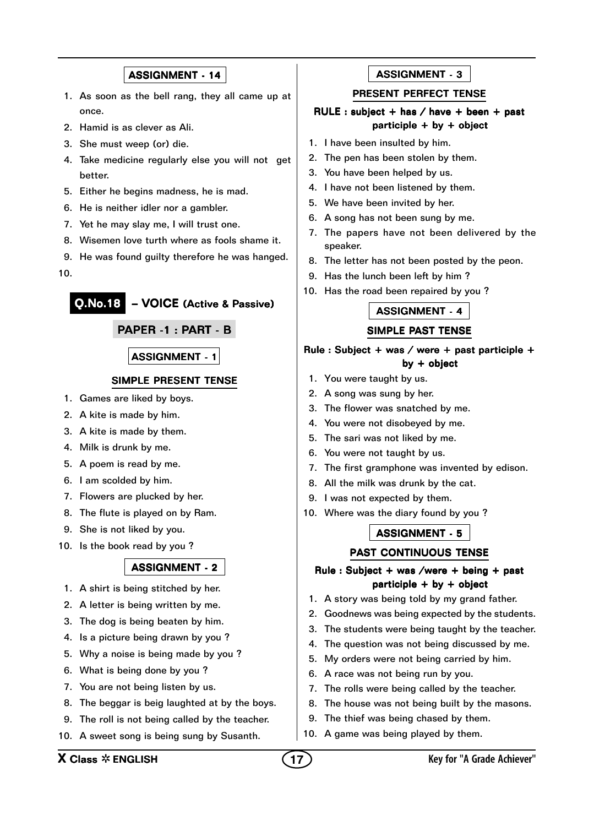- 1. As soon as the bell rang, they all came up at once.
- 2. Hamid is as clever as Ali.
- 3. She must weep (or) die.
- 4. Take medicine regularly else you will not get better.
- 5. Either he begins madness, he is mad.
- 6. He is neither idler nor a gambler.
- 7. Yet he may slay me, I will trust one.
- 8. Wisemen love turth where as fools shame it.
- 9. He was found guilty therefore he was hanged.

10.

Q.No.18 – VOICE (Active & Passive)

#### PAPER -1 : PART - B

#### ASSIGNMENT - 1

#### SIMPLE PRESENT TENSE

- 1. Games are liked by boys.
- 2. A kite is made by him.
- 3. A kite is made by them.
- 4. Milk is drunk by me.
- 5. A poem is read by me.
- 6. I am scolded by him.
- 7. Flowers are plucked by her.
- 8. The flute is played on by Ram.
- 9. She is not liked by you.
- 10. Is the book read by you ?

#### ASSIGNMENT - 2

- 1. A shirt is being stitched by her.
- 2. A letter is being written by me.
- 3. The dog is being beaten by him.
- 4. Is a picture being drawn by you ?
- 5. Why a noise is being made by you ?
- 6. What is being done by you ?
- 7. You are not being listen by us.
- 8. The beggar is beig laughted at by the boys.
- 9. The roll is not being called by the teacher.
- 10. A sweet song is being sung by Susanth.

#### ASSIGNMENT - 3

#### PRESENT PERFECT TENSE

#### RULE : subject + has / have + been + past participle + by + object

- 1. I have been insulted by him.
- 2. The pen has been stolen by them.
- 3. You have been helped by us.
- 4. I have not been listened by them.
- 5. We have been invited by her.
- 6. A song has not been sung by me.
- 7. The papers have not been delivered by the speaker.
- 8. The letter has not been posted by the peon.
- 9. Has the lunch been left by him ?
- 10. Has the road been repaired by you ?

#### ASSIGNMENT - 4

#### SIMPLE PAST TENSE

#### Rule : Subject + was / were + past participle + by + object

- 1. You were taught by us.
- 2. A song was sung by her.
- 3. The flower was snatched by me.
- 4. You were not disobeyed by me.
- 5. The sari was not liked by me.
- 6. You were not taught by us.
- 7. The first gramphone was invented by edison.
- 8. All the milk was drunk by the cat.
- 9. I was not expected by them.
- 10. Where was the diary found by you ?

#### ASSIGNMENT - 5

#### PAST CONTINUOUS TENSE

#### Rule : Subject + was /were + being + past participle + by + object

- 1. A story was being told by my grand father.
- 2. Goodnews was being expected by the students.
- 3. The students were being taught by the teacher.
- 4. The question was not being discussed by me.
- 5. My orders were not being carried by him.
- 6. A race was not being run by you.
- 7. The rolls were being called by the teacher.
- 8. The house was not being built by the masons.
- 9. The thief was being chased by them.
- 10. A game was being played by them.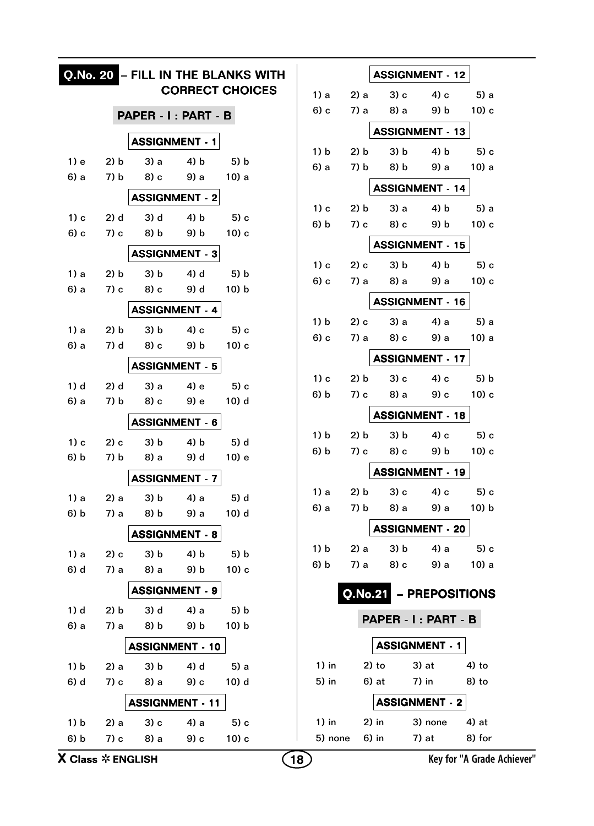|                                       |              |                        |              | Q.No. 20 - FILL IN THE BLANKS WITH |    |         |                |         | <b>ASSIGNMENT - 12</b> |                            |
|---------------------------------------|--------------|------------------------|--------------|------------------------------------|----|---------|----------------|---------|------------------------|----------------------------|
|                                       |              |                        |              | <b>CORRECT CHOICES</b>             |    | 1) a    | 2) a           | 3) c    | 4) c                   | 5) a                       |
|                                       |              | PAPER - I: PART - B    |              |                                    |    | $6$ ) c | 7) a           | 8) a    | 9) b                   | $10$ ) c                   |
|                                       |              | <b>ASSIGNMENT - 1</b>  |              |                                    |    |         |                |         | <b>ASSIGNMENT - 13</b> |                            |
|                                       |              |                        |              |                                    |    | 1) b    | 2) b           | 3) b    | 4) b                   | $5$ ) c                    |
| $1)$ e                                | 2) b         | 3) a                   | 4) b         | 5) b                               |    | 6) a    | 7) b           | 8) b    | 9) a                   | 10) a                      |
| 6) a                                  | 7) b         | 8) c                   | 9) a         | 10 <sub>0</sub> a                  |    |         |                |         | <b>ASSIGNMENT - 14</b> |                            |
|                                       |              | <b>ASSIGNMENT - 2</b>  |              |                                    |    | $1)$ c  | 2) b           | 3) a    | 4) b                   | 5) a                       |
| $1)$ c                                | 2) d         | 3) d                   | 4) b         | $5$ ) c                            |    | 6) b    | 7) c           | 8) c    | 9) b                   | 10) c                      |
| 6) c                                  | 7) c         | 8) b                   | 9) b         | $10$ ) c                           |    |         |                |         |                        |                            |
|                                       |              | <b>ASSIGNMENT - 3</b>  |              |                                    |    |         |                |         | <b>ASSIGNMENT - 15</b> |                            |
| 1) a                                  | 2) b         | 3) b                   | 4) d         | 5) b                               |    | $1)$ c  | 2) c           | 3) b    | 4) b                   | 5) c                       |
| 6) a                                  | 7) c         | 8) c                   | 9) d         | 10) b                              |    | $6$ ) c | 7) a           | 8) a    | 9) a                   | $10$ ) c                   |
|                                       |              | <b>ASSIGNMENT - 4</b>  |              |                                    |    |         |                |         | <b>ASSIGNMENT - 16</b> |                            |
| 1) a                                  | 2) b         | 3) b                   | 4) с         | $5$ ) c                            |    | 1) b    | 2) c           | 3) a    | 4) a                   | 5) a                       |
| 6) a                                  | 7) d         | 8) c                   | 9) b         | $10$ ) c                           |    | 6) c    | 7) a           | 8) c    | 9) a                   | 10) a                      |
|                                       |              | <b>ASSIGNMENT - 5</b>  |              |                                    |    |         |                |         | <b>ASSIGNMENT - 17</b> |                            |
|                                       |              |                        |              |                                    |    | $1)$ c  | 2) b           | 3) c    | 4) c                   | 5) b                       |
| 1) d<br>6) a                          | 2) d<br>7) b | 3) a<br>8) c           | 4) e<br>9) e | $5$ ) c<br>10) d                   |    | 6) b    | 7) c           | 8) a    | 9) c                   | $10$ ) c                   |
|                                       |              |                        |              |                                    |    |         |                |         | <b>ASSIGNMENT - 18</b> |                            |
|                                       |              | <b>ASSIGNMENT - 6</b>  |              |                                    |    | 1) b    | 2) b           | 3) b    | 4) c                   | 5) c                       |
| $1)$ c                                | $2)$ c       | 3) b                   | 4) b         | 5) d                               |    | 6) b    | 7) c           | 8) c    | 9) b                   | $10$ ) c                   |
| 6) b                                  | 7) b         | 8) a                   | 9) d         | 10) e                              |    |         |                |         | <b>ASSIGNMENT - 19</b> |                            |
|                                       |              | <b>ASSIGNMENT - 7</b>  |              |                                    |    |         |                |         |                        |                            |
| 1) a                                  | 2) a         | 3) b                   | 4) a         | 5) d                               |    | 1) a    | 2) b           | 3) c    | 4) c                   | $5$ ) c                    |
| 6) b                                  | 7) a         | 8) b                   | 9) a         | 10) d                              |    | 6) a    | 7) b           | 8) a    | 9) a                   | 10) b                      |
|                                       |              | <b>ASSIGNMENT - 8</b>  |              |                                    |    |         |                |         | <b>ASSIGNMENT - 20</b> |                            |
| 1) a                                  | 2) c         | 3) b                   | 4) b         | 5) b                               |    | 1) b    | 2) a           | 3) b    | 4) a                   | 5) c                       |
| 6) d                                  | 7) a         | 8) a                   | 9) b         | $10$ ) c                           |    | 6) b    | 7) a           | 8) c    | 9) a                   | $10$ ) a                   |
|                                       |              | <b>ASSIGNMENT - 9</b>  |              |                                    |    |         | <b>Q.No.21</b> |         | - PREPOSITIONS         |                            |
| 1) d                                  | 2) b         | 3) d                   | 4) a         | 5) b                               |    |         |                |         | PAPER - I: PART - B    |                            |
| 6) a                                  | 7) a         | 8) b                   | 9) b         | $10$ ) $b$                         |    |         |                |         |                        |                            |
|                                       |              | <b>ASSIGNMENT - 10</b> |              |                                    |    |         |                |         | <b>ASSIGNMENT - 1</b>  |                            |
| 1) b                                  | 2) a         | 3) b                   | 4) d         | 5) a                               |    | $1)$ in |                | $2)$ to | 3) at                  | $4)$ to                    |
| 6) d                                  | 7) c         | 8) a                   | 9) c         | 10) d                              |    | 5) in   |                | 6) at   | 7) in                  | 8) to                      |
|                                       |              | <b>ASSIGNMENT - 11</b> |              |                                    |    |         |                |         | <b>ASSIGNMENT - 2</b>  |                            |
| 1) b                                  | 2) a         | $3)$ c                 | 4) a         | 5) c                               |    | $1)$ in |                | $2)$ in | 3) none                | 4) at                      |
| 6) b                                  | 7) c         | 8) a                   | 9) c         | $10$ ) c                           |    | 5) none |                | 6) in   | 7) at                  | 8) for                     |
| <b>X Class <math>*</math> ENGLISH</b> |              |                        |              |                                    | 18 |         |                |         |                        | Key for "A Grade Achiever" |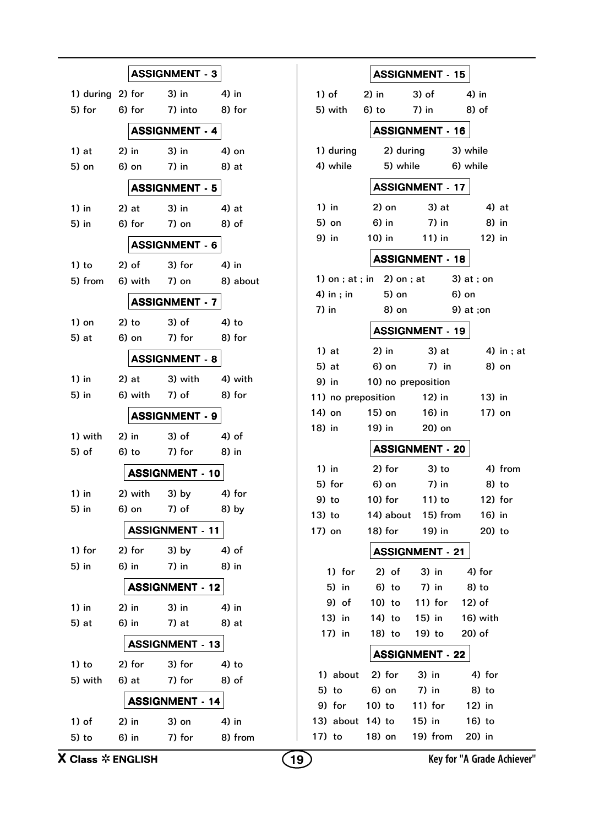|                             |                       |                         | <b>ASSIGNMENT - 3</b>  |       |                  |
|-----------------------------|-----------------------|-------------------------|------------------------|-------|------------------|
| 1) during 2) for $\,$ 3) in |                       |                         |                        |       | 4) in            |
| 5) for                      |                       | 6) for                  | 7) into                |       | 8) for           |
|                             | <b>ASSIGNMENT - 4</b> |                         |                        |       |                  |
| 1) at                       |                       | $2)$ in                 | 3) in                  |       | 4) on            |
| 5) on                       |                       | $6)$ on                 | 7) in                  |       | 8) at            |
|                             |                       |                         |                        |       |                  |
|                             |                       |                         | <b>ASSIGNMENT - 5</b>  |       |                  |
| 1) in                       |                       | $2)$ at                 | 3) in                  |       | 4) at            |
| 5) in                       |                       | $6)$ for                | 7) on                  |       | 8) of            |
|                             |                       |                         | <b>ASSIGNMENT - 6</b>  |       |                  |
| 1) to                       |                       | 2) of                   | 3) for                 |       | 4) in            |
| 5) from                     |                       | 6) with                 | $7)$ on                |       | 8) about         |
|                             |                       |                         | <b>ASSIGNMENT - 7</b>  |       |                  |
| 1) on                       |                       | $2)$ to                 | $3)$ of                |       | 4) to            |
| 5) at                       |                       | $6)$ on                 | 7) for                 |       | 8) for           |
|                             |                       |                         | <b>ASSIGNMENT - 8</b>  |       |                  |
| 1) in                       |                       | 2) at                   | 3) with                |       | 4) with          |
| 5) in                       |                       | 6) with                 | 7) of                  |       | 8) for           |
|                             |                       |                         | <b>ASSIGNMENT - 9</b>  |       |                  |
| 1) with                     | $2)$ in               |                         | 3) of                  |       | 4) of            |
| 5) of                       |                       | $6)$ to                 | 7) for                 |       | 8) in            |
|                             |                       |                         | <b>ASSIGNMENT - 10</b> |       |                  |
| $1)$ in                     |                       | 2) with                 | 3) by                  |       | 4) for           |
| 5) in                       |                       | 6) on the set of $\sim$ | 7) of                  |       | 8) by            |
|                             |                       |                         | <b>ASSIGNMENT - 11</b> |       |                  |
| 1) for                      |                       | $2)$ for                | 3) by                  |       | $4)$ of          |
| 5) in                       |                       | 6) in                   | 7) in                  |       | 8) in            |
|                             |                       |                         | <b>ASSIGNMENT - 12</b> |       |                  |
| $1)$ in                     |                       | $2)$ in                 | 3) in                  | 4) in |                  |
| 5) at                       |                       | 6) in                   | $7)$ at                |       | 8) at            |
|                             |                       |                         | <b>ASSIGNMENT - 13</b> |       |                  |
|                             |                       |                         |                        |       |                  |
| 1) to<br>5) with            |                       | 2) for<br>6) at         | 3) for<br>7) for       |       | $4)$ to<br>8) of |
|                             |                       |                         |                        |       |                  |
|                             |                       |                         | <b>ASSIGNMENT - 14</b> |       |                  |
| 1) of                       |                       | $2)$ in                 | $3)$ on                |       | 4) in            |
| $5)$ to                     |                       | $6)$ in                 | 7) for                 |       | 8) from          |

|          |                        |                              | <b>ASSIGNMENT - 15</b>         |             |            |  |  |  |  |  |
|----------|------------------------|------------------------------|--------------------------------|-------------|------------|--|--|--|--|--|
| 1) of    |                        | $2)$ in                      | $3)$ of                        | 4) in       |            |  |  |  |  |  |
|          | 5) with                | $6)$ to                      | 7) in                          | 8) of       |            |  |  |  |  |  |
|          | <b>ASSIGNMENT - 16</b> |                              |                                |             |            |  |  |  |  |  |
|          | 1) during              | 2) during                    |                                | 3) while    |            |  |  |  |  |  |
|          | 4) while               | 5) while                     |                                | 6) while    |            |  |  |  |  |  |
|          |                        |                              | <b>ASSIGNMENT - 17</b>         |             |            |  |  |  |  |  |
| $1)$ in  |                        | 2) on                        | 3) at                          | 4) at       |            |  |  |  |  |  |
| 5) on    |                        | 6) in                        | 7) in                          | $8)$ in     |            |  |  |  |  |  |
| 9) in    |                        | 10) in                       | 11) in                         | 12) in      |            |  |  |  |  |  |
|          |                        |                              | <b>ASSIGNMENT - 18</b>         |             |            |  |  |  |  |  |
|          |                        | 1) on ; at ; in $2)$ on ; at |                                | 3) at ; on  |            |  |  |  |  |  |
|          | 4) in ; in             | 5) on                        |                                | 6) on       |            |  |  |  |  |  |
| 7) in    |                        | 8) on                        |                                | $9)$ at ;on |            |  |  |  |  |  |
|          |                        |                              | <b>ASSIGNMENT - 19</b>         |             |            |  |  |  |  |  |
| $1)$ at  |                        | $2)$ in                      | 3) at                          |             | 4) in ; at |  |  |  |  |  |
| 5) at    |                        | 6) on                        | $7)$ in                        | 8) on       |            |  |  |  |  |  |
| 9) in    |                        | 10) no preposition           |                                |             |            |  |  |  |  |  |
|          |                        | 11) no preposition           | 12) in                         | 13) in      |            |  |  |  |  |  |
| 14) on   |                        | 15) on                       | 16) in                         | 17) on      |            |  |  |  |  |  |
| 18) in   |                        | 19) in                       | 20) on                         |             |            |  |  |  |  |  |
|          |                        |                              | <b>ASSIGNMENT - 20</b>         |             |            |  |  |  |  |  |
| $1)$ in  |                        | 2) for                       | $3)$ to                        |             | 4) from    |  |  |  |  |  |
| 5) for   |                        | 6) on                        | 7) in                          | 8) to       |            |  |  |  |  |  |
| 9) to    |                        | 10) for                      | $11$ ) to                      | $12)$ for   |            |  |  |  |  |  |
| $13)$ to |                        |                              | 14) about 15) from             | $16)$ in    |            |  |  |  |  |  |
|          |                        |                              | 17) on 18) for 19) in 20) to   |             |            |  |  |  |  |  |
|          |                        |                              | <b>ASSIGNMENT - 21</b>         |             |            |  |  |  |  |  |
|          | 1) for                 |                              | 2) of 3) in 4) for             |             |            |  |  |  |  |  |
|          | 5) in                  |                              | 6) to 7) in 8) to              |             |            |  |  |  |  |  |
|          | 9) of                  |                              | 10) to 11) for 12) of          |             |            |  |  |  |  |  |
|          | 13) in                 |                              | 14) to 15) in 16) with         |             |            |  |  |  |  |  |
|          | 17) in                 |                              | 18) to 19) to 20) of           |             |            |  |  |  |  |  |
|          |                        |                              | <b>ASSIGNMENT - 22</b>         |             |            |  |  |  |  |  |
|          |                        | 1) about 2) for 3) in        |                                | 4) for      |            |  |  |  |  |  |
|          |                        |                              | 5) to 6) on 7) in              | 8) to       |            |  |  |  |  |  |
|          |                        |                              | 9) for 10) to 11) for 12) in   |             |            |  |  |  |  |  |
|          |                        |                              | 13) about 14) to 15) in 16) to |             |            |  |  |  |  |  |
|          |                        |                              | 17) to 18) on 19) from 20) in  |             |            |  |  |  |  |  |

**19 19 Key for "A Grade Achiever" 19 Key for "A Grade Achiever"**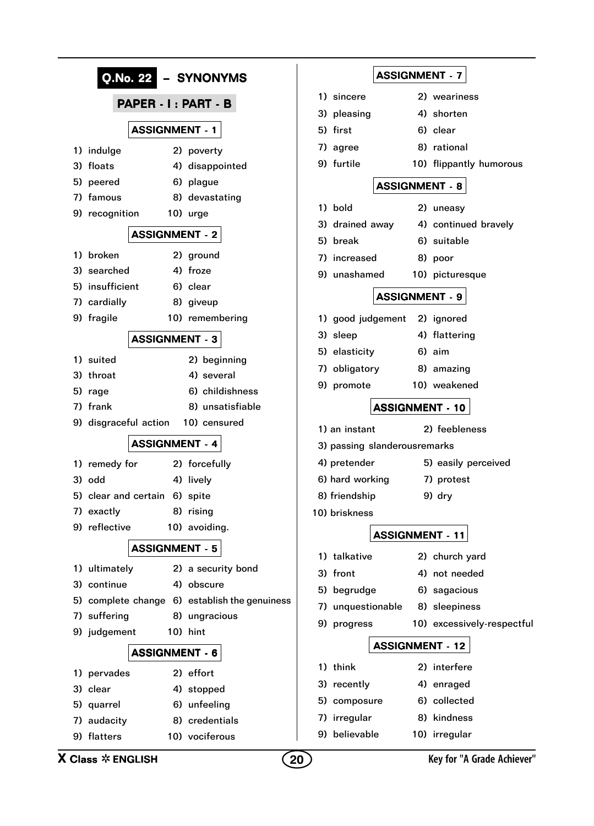| Q.No. 22<br>- SYNONYMS                        | <b>ASSIGNMENT - 7</b>                                              |
|-----------------------------------------------|--------------------------------------------------------------------|
| PAPER - I: PART - B                           | 1) sincere<br>2) weariness                                         |
|                                               | 4) shorten<br>3) pleasing                                          |
| <b>ASSIGNMENT - 1</b>                         | 5) first<br>6) clear                                               |
| 1) indulge<br>2) poverty                      | 8) rational<br>7) agree                                            |
| 3) floats<br>4) disappointed                  | 9) furtile<br>10) flippantly humorous                              |
| 5) peered<br>6) plague                        | <b>ASSIGNMENT - 8</b>                                              |
| 7) famous<br>8) devastating                   |                                                                    |
| 9) recognition<br>10) urge                    | 1) bold<br>2) uneasy                                               |
| <b>ASSIGNMENT - 2</b>                         | 4) continued bravely<br>3) drained away<br>6) suitable<br>5) break |
| 1) broken<br>2) ground                        | 7) increased<br>8) poor                                            |
| 4) froze<br>3) searched                       | 9) unashamed<br>10) picturesque                                    |
| 5) insufficient<br>6) clear                   |                                                                    |
| 7) cardially<br>8) giveup                     | <b>ASSIGNMENT - 9</b>                                              |
| 9) fragile<br>10) remembering                 | 1) good judgement<br>2) ignored                                    |
| <b>ASSIGNMENT - 3</b>                         | 3) sleep<br>4) flattering                                          |
| 1) suited<br>2) beginning                     | 5) elasticity<br>$6)$ aim                                          |
| 3) throat<br>4) several                       | 7) obligatory<br>8) amazing                                        |
| 6) childishness<br>5) rage                    | 9) promote<br>10) weakened                                         |
| 7) frank<br>8) unsatisfiable                  | <b>ASSIGNMENT - 10</b>                                             |
| 9) disgraceful action<br>10) censured         |                                                                    |
|                                               | 2) feebleness<br>1) an instant                                     |
| <b>ASSIGNMENT - 4</b>                         | 3) passing slanderousremarks                                       |
| 2) forcefully<br>1) remedy for                | 4) pretender<br>5) easily perceived                                |
| 3) odd<br>4) lively                           | 6) hard working<br>7) protest                                      |
| 5) clear and certain<br>6) spite              | 8) friendship<br>9) dry                                            |
| 8) rising<br>7) exactly                       | 10) briskness                                                      |
| 9) reflective<br>10) avoiding.                | <b>ASSIGNMENT - 11</b>                                             |
| <b>ASSIGNMENT - 5</b>                         | 1) talkative<br>2) church yard                                     |
| 1) ultimately<br>2) a security bond           | 4) not needed<br>3) front                                          |
| 4) obscure<br>3) continue                     | 5) begrudge<br>6) sagacious                                        |
| 5) complete change 6) establish the genuiness | 7) unquestionable<br>8) sleepiness                                 |
| 7) suffering<br>8) ungracious                 | 9) progress<br>10) excessively-respectful                          |
| 9) judgement<br>10) hint                      |                                                                    |
| <b>ASSIGNMENT - 6</b>                         | <b>ASSIGNMENT - 12</b>                                             |
| 2) effort<br>1) pervades                      | 1) think<br>2) interfere                                           |
| 3) clear<br>4) stopped                        | 3) recently<br>4) enraged                                          |
| 6) unfeeling<br>5) quarrel                    | 6) collected<br>5) composure                                       |
| 8) credentials<br>7) audacity                 | 8) kindness<br>7) irregular                                        |
| 9) flatters<br>10) vociferous                 | 9) believable<br>10) irregular                                     |
| <b>X Class <math>*</math> ENGLISH</b>         | Key for "A Grade Achiever"<br>20                                   |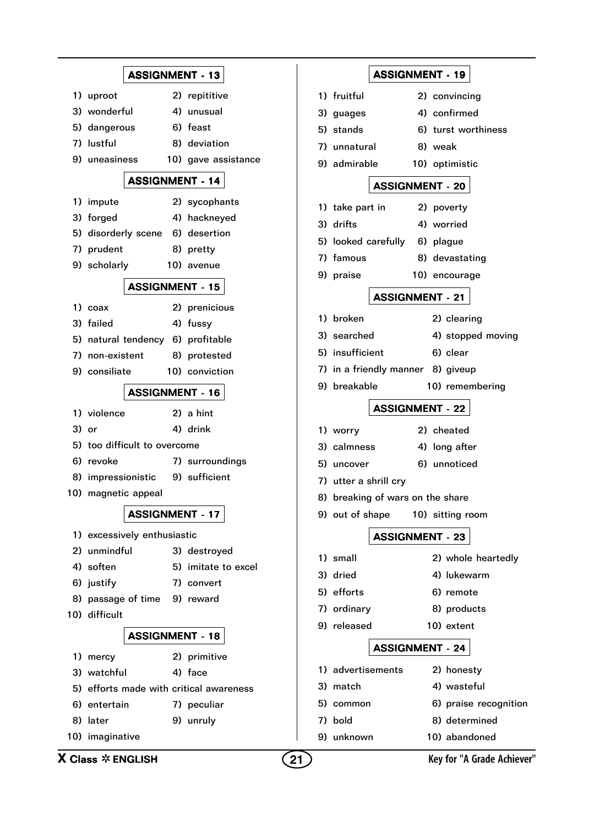|                                             | <b>ASSIGNMENT - 13</b> |                                         |    |                 | <b>ASSIGNMENT - 19</b>            |            |                            |
|---------------------------------------------|------------------------|-----------------------------------------|----|-----------------|-----------------------------------|------------|----------------------------|
| 1) uproot                                   |                        | 2) repititive                           |    | 1) fruitful     |                                   |            | 2) convincing              |
| 3) wonderful                                |                        | 4) unusual                              |    | 3) guages       |                                   |            | 4) confirmed               |
| 5) dangerous                                |                        | 6) feast                                |    | 5) stands       |                                   |            | 6) turst worthiness        |
| 7) lustful                                  |                        | 8) deviation                            |    | 7) unnatural    |                                   | 8) weak    |                            |
| 9) uneasiness                               |                        | 10) gave assistance                     |    | 9) admirable    |                                   |            | 10) optimistic             |
|                                             | <b>ASSIGNMENT - 14</b> |                                         |    |                 |                                   |            |                            |
| 1) impute                                   |                        |                                         |    |                 | <b>ASSIGNMENT - 20</b>            |            |                            |
| 3) forged                                   |                        | 2) sycophants<br>4) hackneyed           |    | 1) take part in |                                   | 2) poverty |                            |
| 5) disorderly scene                         |                        | 6) desertion                            |    | 3) drifts       |                                   | 4) worried |                            |
| 7) prudent                                  |                        | 8) pretty                               |    |                 | 5) looked carefully               | 6) plague  |                            |
| 9) scholarly                                |                        | 10) avenue                              |    | 7) famous       |                                   |            | 8) devastating             |
|                                             |                        |                                         |    | 9) praise       |                                   |            | 10) encourage              |
|                                             | <b>ASSIGNMENT - 15</b> |                                         |    |                 | <b>ASSIGNMENT - 21</b>            |            |                            |
| 1) coax                                     |                        | 2) prenicious                           |    |                 |                                   |            |                            |
| 3) failed                                   |                        | 4) fussy                                |    | 1) broken       |                                   |            | 2) clearing                |
|                                             |                        | 5) natural tendency 6) profitable       |    | 3) searched     |                                   |            | 4) stopped moving          |
| 7) non-existent                             |                        | 8) protested                            |    | 5) insufficient |                                   |            | 6) clear                   |
| 9) consiliate                               |                        | 10) conviction                          |    |                 | 7) in a friendly manner 8) giveup |            |                            |
|                                             | <b>ASSIGNMENT - 16</b> |                                         |    | 9) breakable    |                                   |            | 10) remembering            |
| 1) violence                                 |                        | 2) a hint                               |    |                 | <b>ASSIGNMENT - 22</b>            |            |                            |
| 3) or                                       |                        | 4) drink                                |    | 1) worry        |                                   | 2) cheated |                            |
| 5) too difficult to overcome                |                        |                                         |    | 3) calmness     |                                   |            | 4) long after              |
| 6) revoke                                   |                        | 7) surroundings                         |    | 5) uncover      |                                   |            | 6) unnoticed               |
| 8) impressionistic                          |                        | 9) sufficient                           |    |                 | 7) utter a shrill cry             |            |                            |
| 10) magnetic appeal                         |                        |                                         |    |                 | 8) breaking of wars on the share  |            |                            |
|                                             | <b>ASSIGNMENT - 17</b> |                                         |    | 9) out of shape |                                   |            | 10) sitting room           |
|                                             |                        |                                         |    |                 |                                   |            |                            |
| 1) excessively enthusiastic<br>2) unmindful |                        |                                         |    |                 | <b>ASSIGNMENT - 23</b>            |            |                            |
| 4) soften                                   |                        | 3) destroyed<br>5) imitate to excel     |    | 1) small        |                                   |            | 2) whole heartedly         |
| 6) justify                                  |                        | 7) convert                              |    | 3) dried        |                                   |            | 4) lukewarm                |
| 8) passage of time                          |                        | 9) reward                               |    | 5) efforts      |                                   |            | 6) remote                  |
| 10) difficult                               |                        |                                         |    | 7) ordinary     |                                   |            | 8) products                |
|                                             |                        |                                         |    | 9) released     |                                   |            | 10) extent                 |
|                                             | <b>ASSIGNMENT - 18</b> |                                         |    |                 | <b>ASSIGNMENT - 24</b>            |            |                            |
| 1) mercy                                    |                        | 2) primitive                            |    |                 |                                   |            |                            |
| 3) watchful                                 |                        | 4) face                                 |    |                 | 1) advertisements                 |            | 2) honesty                 |
|                                             |                        | 5) efforts made with critical awareness |    | 3) match        |                                   |            | 4) wasteful                |
| 6) entertain                                |                        | 7) peculiar                             |    | 5) common       |                                   |            | 6) praise recognition      |
| 8) later                                    |                        | 9) unruly                               |    | 7) bold         |                                   |            | 8) determined              |
| 10) imaginative                             |                        |                                         |    | 9) unknown      |                                   |            | 10) abandoned              |
| <b>X Class <math>*</math> ENGLISH</b>       |                        |                                         | 21 |                 |                                   |            | Key for "A Grade Achiever" |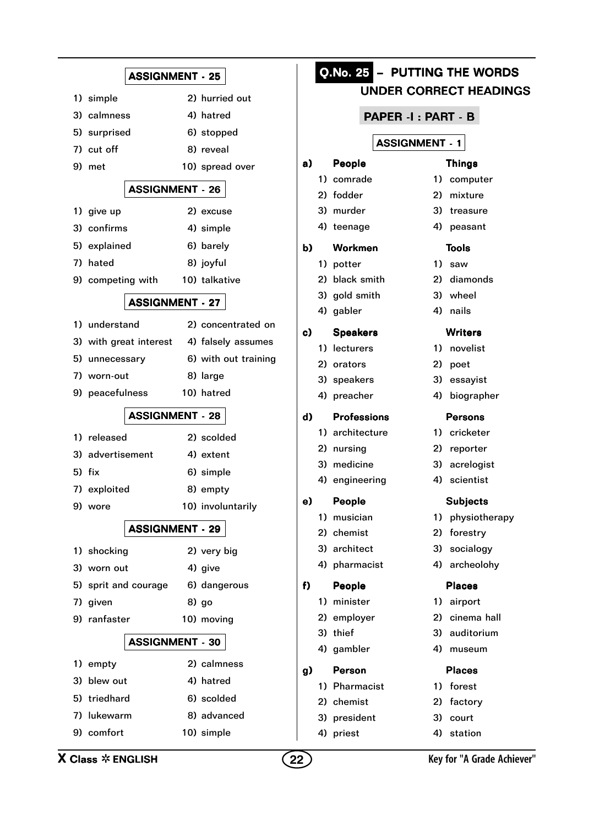|                                           | <b>ASSIGNMENT - 25</b> |                |
|-------------------------------------------|------------------------|----------------|
|                                           |                        |                |
| 1) simple                                 | 2) hurried out         |                |
| 3) calmness                               | 4) hatred              |                |
| 5) surprised                              | 6) stopped             |                |
| 7)<br>cut off                             | 8) reveal              | a)             |
| 9)<br>met                                 | 10) spread over        | 1              |
| <b>ASSIGNMENT - 26</b>                    |                        | 2              |
| 1) give up                                | 2) excuse              |                |
| confirms<br>3)                            | 4) simple              | 4              |
| 5)<br>explained                           | 6) barely              | b)             |
| hated<br>7)                               | 8) joyful              | 1              |
| 9) competing with                         | 10) talkative          | $\overline{c}$ |
|                                           | <b>ASSIGNMENT - 27</b> |                |
| 1) understand                             | 2) concentrated on     | 4              |
| 3) with great interest 4) falsely assumes |                        | c)             |
| 5)<br>unnecessary                         | 6) with out training   | 1              |
| 7) worn-out                               | 8) large               | 2              |
| 9) peacefulness                           | 10) hatred             | 4              |
|                                           |                        |                |
|                                           |                        |                |
|                                           | <b>ASSIGNMENT - 28</b> | d)<br>1        |
| 1) released                               | 2) scolded             | 2              |
| 3)<br>advertisement                       | 4) extent              | 3              |
| 5)<br>fix                                 | 6) simple              | 4              |
| 7) exploited                              | 8) empty               | e)             |
| 9) wore                                   | 10) involuntarily      |                |
|                                           | <b>ASSIGNMENT - 29</b> | $\overline{a}$ |
| 1) shocking                               | 2) very big            | 3              |
| 3) worn out                               | 4) give                | 4              |
| 5)<br>sprit and courage                   | 6) dangerous           | f)             |
| 7)<br>given                               | 8) go                  | 1              |
| 9)<br>ranfaster                           | 10) moving             | 2              |
| <b>ASSIGNMENT - 30</b>                    |                        |                |
|                                           | 2) calmness            | 4              |
| 1) empty<br>3)<br>blew out                | 4) hatred              | g)             |
| 5)<br>triedhard                           | 6) scolded             | 1              |
| 7)<br>lukewarm                            | 8) advanced            | 2              |

|   |                       |  | Q.No. 25 - PUTTING THE WORDS |    | <b>UNDER CORRECT HEADINGS</b> |  |  |  |  |  |  |
|---|-----------------------|--|------------------------------|----|-------------------------------|--|--|--|--|--|--|
|   |                       |  | PAPER -I : PART - B          |    |                               |  |  |  |  |  |  |
|   | <b>ASSIGNMENT - 1</b> |  |                              |    |                               |  |  |  |  |  |  |
|   | a)                    |  | People                       |    | <b>Things</b>                 |  |  |  |  |  |  |
|   |                       |  | 1) comrade                   |    | 1) computer                   |  |  |  |  |  |  |
|   |                       |  | 2) fodder                    |    | 2) mixture                    |  |  |  |  |  |  |
|   |                       |  | 3) murder                    |    | 3) treasure                   |  |  |  |  |  |  |
|   |                       |  | 4) teenage                   |    | 4) peasant                    |  |  |  |  |  |  |
|   | b)                    |  | Workmen                      |    | <b>Tools</b>                  |  |  |  |  |  |  |
|   |                       |  | 1) potter                    |    | 1) saw                        |  |  |  |  |  |  |
|   |                       |  | 2) black smith               |    | 2) diamonds                   |  |  |  |  |  |  |
|   |                       |  | 3) gold smith                |    | 3) wheel                      |  |  |  |  |  |  |
|   |                       |  | 4) gabler                    |    | 4) nails                      |  |  |  |  |  |  |
| ٦ | c)                    |  | <b>Speakers</b>              |    | <b>Writers</b>                |  |  |  |  |  |  |
|   |                       |  | 1) lecturers                 |    | 1) novelist                   |  |  |  |  |  |  |
| g |                       |  | 2) orators                   |    | 2) poet                       |  |  |  |  |  |  |
|   |                       |  | 3) speakers                  |    | 3) essayist                   |  |  |  |  |  |  |
|   |                       |  | 4) preacher                  |    | 4) biographer                 |  |  |  |  |  |  |
|   | d)                    |  | <b>Professions</b>           |    | <b>Persons</b>                |  |  |  |  |  |  |
|   |                       |  | 1) architecture              |    | 1) cricketer                  |  |  |  |  |  |  |
|   |                       |  | 2) nursing                   |    | 2) reporter                   |  |  |  |  |  |  |
|   |                       |  | 3) medicine                  |    | 3) acrelogist                 |  |  |  |  |  |  |
|   |                       |  | 4) engineering               |    | 4) scientist                  |  |  |  |  |  |  |
|   | e)                    |  | People                       |    | <b>Subjects</b>               |  |  |  |  |  |  |
|   |                       |  | 1) musician                  | 1) | physiotherapy                 |  |  |  |  |  |  |
|   |                       |  | 2) chemist                   | 2) | forestry                      |  |  |  |  |  |  |
|   |                       |  | 3) architect                 | 3) | socialogy                     |  |  |  |  |  |  |
|   |                       |  | 4) pharmacist                | 4) | archeolohy                    |  |  |  |  |  |  |
|   | f)                    |  | People                       |    | <b>Places</b>                 |  |  |  |  |  |  |
|   |                       |  | 1) minister                  | 1) | airport                       |  |  |  |  |  |  |
|   |                       |  | 2) employer                  |    | 2) cinema hall                |  |  |  |  |  |  |
|   |                       |  | 3) thief                     | 3) | auditorium                    |  |  |  |  |  |  |
|   |                       |  | 4) gambler                   | 4) | museum                        |  |  |  |  |  |  |
|   | g)                    |  | Person                       |    | <b>Places</b>                 |  |  |  |  |  |  |
|   |                       |  | 1) Pharmacist                | 1) | forest                        |  |  |  |  |  |  |
|   |                       |  | 2) chemist                   |    | 2) factory                    |  |  |  |  |  |  |
|   |                       |  | 3) president                 | 3) | court                         |  |  |  |  |  |  |
|   |                       |  | 4) priest                    | 4) | station                       |  |  |  |  |  |  |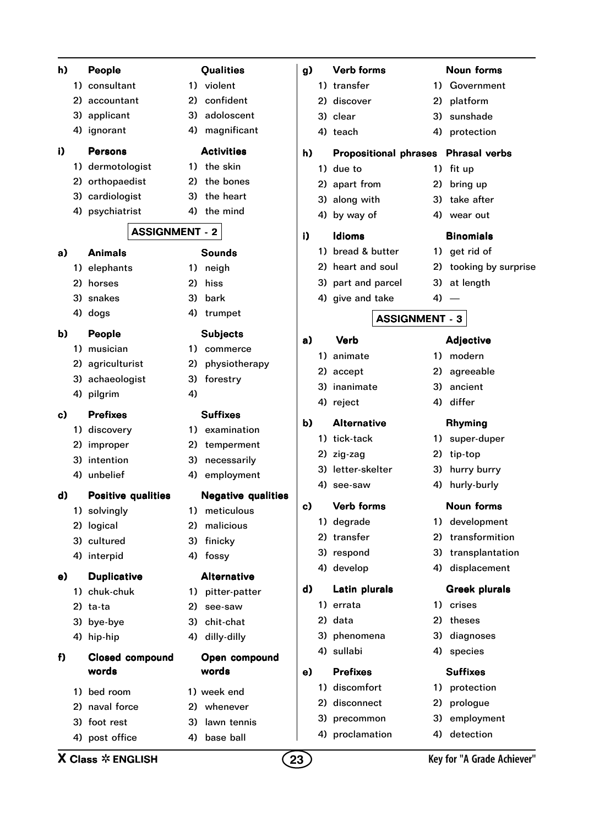| h) |                                             | People                   |                           |    | <b>Qualities</b>          | g) | <b>Verb forms</b> |                    |                       | <b>Noun forms</b>                   |  |
|----|---------------------------------------------|--------------------------|---------------------------|----|---------------------------|----|-------------------|--------------------|-----------------------|-------------------------------------|--|
|    |                                             | 1) consultant            |                           |    | 1) violent                |    |                   | 1) transfer        |                       | 1) Government                       |  |
|    |                                             | 2) accountant            |                           | 2) | confident                 |    |                   | 2) discover        | 2)                    | platform                            |  |
|    |                                             | 3) applicant             |                           | 3) | adoloscent                |    |                   | 3) clear           | 3)                    | sunshade                            |  |
|    |                                             | 4) ignorant              |                           |    | 4) magnificant            |    |                   | 4) teach           |                       | 4) protection                       |  |
| i) |                                             | <b>Persons</b>           |                           |    | <b>Activities</b>         | h) |                   |                    |                       | Propositional phrases Phrasal verbs |  |
|    |                                             | 1) dermotologist         |                           |    | 1) the skin               |    |                   | 1) due to          |                       | 1) fit up                           |  |
|    |                                             | 2) orthopaedist          |                           | 2) | the bones                 |    |                   | 2) apart from      | 2)                    | bring up                            |  |
|    |                                             | 3) cardiologist          |                           | 3) | the heart                 |    |                   | 3) along with      |                       | 3) take after                       |  |
|    |                                             | 4) psychiatrist          |                           |    | 4) the mind               |    |                   | 4) by way of       |                       | 4) wear out                         |  |
|    |                                             |                          | <b>ASSIGNMENT - 2</b>     |    |                           | i) |                   | <b>Idioms</b>      |                       | <b>Binomials</b>                    |  |
| a) |                                             | <b>Animals</b>           |                           |    | <b>Sounds</b>             |    |                   | 1) bread & butter  |                       | 1) get rid of                       |  |
|    |                                             | 1) elephants             |                           |    | 1) neigh                  |    |                   | 2) heart and soul  |                       | 2) tooking by surprise              |  |
|    |                                             | 2) horses                |                           | 2) | hiss                      |    |                   | 3) part and parcel |                       | 3) at length                        |  |
|    |                                             | 3) snakes                |                           |    | 3) bark                   |    |                   | 4) give and take   |                       | $4) -$                              |  |
|    |                                             | 4) dogs                  |                           |    | 4) trumpet                |    |                   |                    | <b>ASSIGNMENT - 3</b> |                                     |  |
| b) |                                             | People                   |                           |    | <b>Subjects</b>           | a) |                   | <b>Verb</b>        |                       | <b>Adjective</b>                    |  |
|    |                                             | 1) musician              |                           |    | 1) commerce               |    |                   | 1) animate         |                       | 1) modern                           |  |
|    |                                             | 2) agriculturist         |                           | 2) | physiotherapy             |    |                   | 2) accept          | 2)                    | agreeable                           |  |
|    |                                             | 3) achaeologist          |                           | 3) | forestry                  |    | 3)                | inanimate          | 3)                    | ancient                             |  |
|    |                                             | 4) pilgrim               |                           | 4) |                           |    |                   | 4) reject          |                       | 4) differ                           |  |
| c) |                                             | <b>Prefixes</b>          |                           |    | <b>Suffixes</b>           |    |                   |                    |                       |                                     |  |
|    |                                             | 1) discovery             |                           |    | 1) examination            | b) |                   | <b>Alternative</b> |                       | <b>Rhyming</b>                      |  |
|    |                                             | 2) improper              |                           |    | 2) temperment             |    |                   | 1) tick-tack       |                       | 1) super-duper                      |  |
|    |                                             | 3) intention             |                           | 3) | necessarily               |    |                   | 2) zig-zag         |                       | 2) tip-top                          |  |
|    |                                             | 4) unbelief              |                           |    | 4) employment             |    |                   | 3) letter-skelter  |                       | 3) hurry burry                      |  |
| d) |                                             |                          | <b>Positive qualities</b> |    | <b>Negative qualities</b> |    |                   | 4) see-saw         |                       | 4) hurly-burly                      |  |
|    |                                             | 1) solvingly             |                           | 1) | meticulous                | c) |                   | <b>Verb forms</b>  |                       | <b>Noun forms</b>                   |  |
|    |                                             | 2) logical               |                           | 2) | malicious                 |    |                   | 1) degrade         |                       | 1) development                      |  |
|    |                                             | 3) cultured              |                           | 3) | finicky                   |    |                   | 2) transfer        | 2)                    | transformition                      |  |
|    |                                             | 4) interpid              |                           |    | 4) fossy                  |    |                   | 3) respond         |                       | 3) transplantation                  |  |
| e) |                                             | <b>Duplicative</b>       |                           |    | <b>Alternative</b>        |    |                   | 4) develop         |                       | 4) displacement                     |  |
|    |                                             | 1) chuk-chuk             |                           |    | 1) pitter-patter          | d) |                   | Latin plurals      |                       | <b>Greek plurals</b>                |  |
|    |                                             | 2) ta-ta                 |                           | 2) | see-saw                   |    |                   | 1) errata          |                       | 1) crises                           |  |
|    |                                             |                          |                           | 3) | chit-chat                 |    |                   | 2) data            | 2)                    | theses                              |  |
|    |                                             | 3) bye-bye<br>4) hip-hip |                           | 4) | dilly-dilly               |    |                   | 3) phenomena       | 3)                    | diagnoses                           |  |
|    |                                             |                          |                           |    |                           |    |                   | 4) sullabi         |                       | 4) species                          |  |
| f) |                                             |                          | <b>Closed compound</b>    |    | Open compound             |    |                   |                    |                       |                                     |  |
|    |                                             | words                    |                           |    | words                     | e) |                   | <b>Prefixes</b>    |                       | <b>Suffixes</b>                     |  |
|    |                                             | 1) bed room              |                           |    | 1) week end               |    |                   | 1) discomfort      |                       | 1) protection                       |  |
|    |                                             | 2) naval force           |                           |    | 2) whenever               |    |                   | 2) disconnect      | 2)                    | prologue                            |  |
|    |                                             | 3) foot rest             |                           | 3) | lawn tennis               |    |                   | 3) precommon       | 3)                    | employment                          |  |
|    |                                             | 4) post office           |                           | 4) | base ball                 |    |                   | 4) proclamation    | 4)                    | detection                           |  |
|    | <b>X Class <math>*</math> ENGLISH</b><br>23 |                          |                           |    |                           |    |                   |                    |                       | Key for "A Grade Achiever"          |  |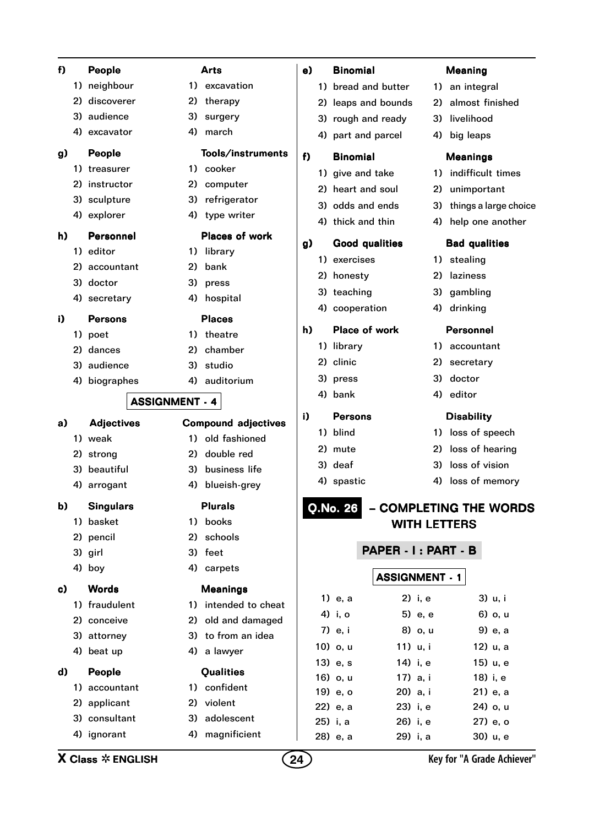| f) |    | People                                |    | <b>Arts</b>                | e) | <b>Binomial</b>                              |    | <b>Meaning</b>             |
|----|----|---------------------------------------|----|----------------------------|----|----------------------------------------------|----|----------------------------|
|    |    | 1) neighbour                          |    | 1) excavation              |    | 1) bread and butter                          |    | 1) an integral             |
|    | 2) | discoverer                            | 2) | therapy                    |    | 2) leaps and bounds                          | 2) | almost finished            |
|    | 3) | audience                              | 3) | surgery                    |    | 3) rough and ready                           | 3) | livelihood                 |
|    |    | 4) excavator                          |    | 4) march                   |    | 4) part and parcel                           |    | 4) big leaps               |
| g) |    | People                                |    | Tools/instruments          | f) | <b>Binomial</b>                              |    | <b>Meanings</b>            |
|    |    | 1) treasurer                          |    | 1) cooker                  |    | 1) give and take                             |    | 1) indifficult times       |
|    | 2) | instructor                            |    | 2) computer                |    | 2) heart and soul                            | 2) | unimportant                |
|    |    | 3) sculpture                          | 3) | refrigerator               |    | 3) odds and ends                             |    | 3) things a large choice   |
|    |    | 4) explorer                           |    | 4) type writer             |    | 4) thick and thin                            |    | 4) help one another        |
| h) |    | Personnel                             |    | <b>Places of work</b>      |    |                                              |    |                            |
|    |    | 1) editor                             |    | 1) library                 | g) | <b>Good qualities</b>                        |    | <b>Bad qualities</b>       |
|    | 2) | accountant                            | 2) | bank                       |    | 1) exercises                                 |    | 1) stealing                |
|    |    | 3) doctor                             |    | 3) press                   |    | 2) honesty                                   | 2) | laziness                   |
|    |    | 4) secretary                          | 4) | hospital                   |    | 3) teaching                                  |    | 3) gambling                |
| i) |    | <b>Persons</b>                        |    | <b>Places</b>              |    | 4) cooperation                               |    | 4) drinking                |
|    |    | 1) poet                               |    | 1) theatre                 | h) | Place of work                                |    | <b>Personnel</b>           |
|    | 2) | dances                                | 2) | chamber                    |    | 1) library                                   |    | 1) accountant              |
|    |    | 3) audience                           | 3) | studio                     |    | 2) clinic                                    |    | 2) secretary               |
|    |    | 4) biographes                         | 4) | auditorium                 |    | 3) press                                     | 3) | doctor                     |
|    |    | <b>ASSIGNMENT - 4</b>                 |    |                            |    | 4) bank                                      |    | 4) editor                  |
|    |    |                                       |    |                            | i) | <b>Persons</b>                               |    | <b>Disability</b>          |
| a) |    | <b>Adjectives</b>                     |    | <b>Compound adjectives</b> |    | 1) blind                                     |    | 1) loss of speech          |
|    |    | 1) weak                               | 1) | old fashioned              |    | 2) mute                                      | 2) | loss of hearing            |
|    |    | 2) strong                             | 2) | double red                 |    | 3) deaf                                      | 3) | loss of vision             |
|    |    | 3) beautiful                          | 3) | business life              |    | 4) spastic                                   |    | 4) loss of memory          |
|    |    | 4) arrogant                           | 4) | blueish-grey               |    |                                              |    |                            |
| b) |    | <b>Singulars</b>                      |    | <b>Plurals</b>             |    | <b>O.No. 26</b>                              |    | - COMPLETING THE WORDS     |
|    |    | 1) basket                             | 1) | books                      |    | <b>WITH LETTERS</b>                          |    |                            |
|    |    | 2) pencil                             | 2) | schools                    |    |                                              |    |                            |
|    |    | 3) girl                               |    | 3) feet                    |    | PAPER - I: PART - B                          |    |                            |
|    |    | 4) boy                                |    | 4) carpets                 |    | <b>ASSIGNMENT - 1</b>                        |    |                            |
| c) |    | <b>Words</b>                          |    | <b>Meanings</b>            |    |                                              |    |                            |
|    |    | 1) fraudulent                         |    | 1) intended to cheat       |    | 1) e, a<br>2) i, e                           |    | 3) u, i                    |
|    |    | 2) conceive                           |    | 2) old and damaged         |    | 4) i, o<br>5) e, e                           |    | 6) o, u                    |
|    |    | 3) attorney                           |    | 3) to from an idea         |    | 7) e, i<br>8) o, u                           |    | 9) e, a                    |
|    |    | 4) beat up                            |    | 4) a lawyer                |    | 10) o, u<br>11) u, i                         |    | 12) u, a                   |
| d) |    | People                                |    | Qualities                  |    | 13) e, s<br>14) i, e                         |    | 15) u, e                   |
|    |    | 1) accountant                         |    | 1) confident               |    | 16) o, u<br>17) a, i                         |    | 18) i, e                   |
|    |    | 2) applicant                          |    | 2) violent                 |    | 19) e, o<br>20) a, i                         |    | 21) e, a                   |
|    |    | 3) consultant                         |    | 3) adolescent              |    | 22) e, a<br>23) i, e<br>25) i, a<br>26) i, e |    | 24) o, u<br>27) e, o       |
|    |    | 4) ignorant                           | 4) | magnificient               |    | 28) e, a<br>29) i, a                         |    | 30) u, e                   |
|    |    |                                       |    |                            |    |                                              |    |                            |
|    |    | <b>X Class <math>*</math> ENGLISH</b> |    |                            | 24 |                                              |    | Key for "A Grade Achiever" |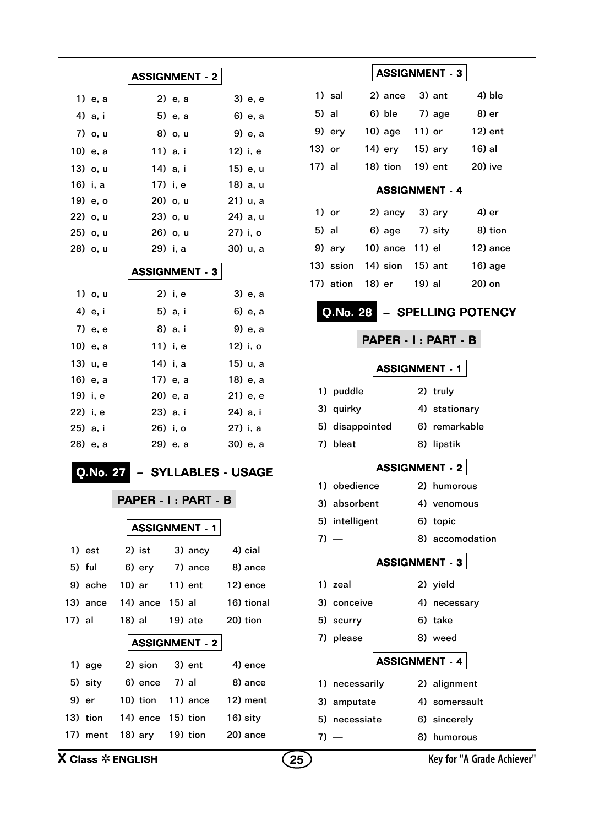|                                       | <b>ASSIGNMENT - 2</b>        |            | <b>ASSIGNMENT - 3</b>                           |
|---------------------------------------|------------------------------|------------|-------------------------------------------------|
| 1) e, a                               | 2) e, a                      | 3) e, e    | 2) ance<br>3) ant<br>4) ble<br>1) sal           |
| 4) a, i                               | 5) e, a                      | 6) e, a    | 6) ble<br>8) er<br>5) al<br>7) age              |
| 7) o, u                               | 8) o, u                      | 9) e, a    | $12)$ ent<br>$10)$ age<br>11) or<br>9) ery      |
| 10) e, a                              | 11) a, i                     | 12) i, e   | 16) al<br>13) or<br>14) ery<br>$15)$ ary        |
| 13) o, u                              | 14) a, i                     | 15) e, u   | 17) al<br>18) tion<br>19) ent<br>20) ive        |
| 16) i, a                              | 17) i, e                     | 18) a, u   | <b>ASSIGNMENT - 4</b>                           |
| 19) e, o                              | 20) o, u                     | 21) u, a   |                                                 |
| 22) o, u                              | 23) o, u                     | 24) a, u   | 1) or<br>2) ancy<br>3) ary<br>4) er             |
| 25) o, u                              | 26) o, u                     | 27) i, o   | 5) al<br>6) age<br>7) sity<br>8) tion           |
| 28) o, u                              | 29) i, a                     | 30) u, a   | 10) ance 11) el<br>12) ance<br>9) ary           |
|                                       | <b>ASSIGNMENT - 3</b>        |            | 14) sion<br>13) ssion<br>$15)$ ant<br>$16)$ age |
| 1) o, u                               | 2) i, e                      | 3) e, a    | 17) ation<br>18) er<br>19) al<br>20) on         |
| 4) e, i                               | 5) a, i                      | 6) e, a    | - SPELLING POTENCY<br>Q.No. 28                  |
| 7) e, e                               | 8) a, i                      | 9) e, a    |                                                 |
| 10) e, a                              | 11) i, e                     | 12) i, o   | PAPER - I : PART - B                            |
| 13) u, e                              | 14) i, a                     | 15) u, a   | <b>ASSIGNMENT - 1</b>                           |
| 16) e, a                              | 17) e, a                     | 18) e, a   |                                                 |
| 19) i, e                              | 20) e, a                     | 21) e, e   | 1) puddle<br>2) truly                           |
| 22) i, e                              | 23) a, i                     | 24) a, i   | 3) quirky<br>4) stationary                      |
| 25) a, i                              | 26) i, o                     | 27) i, a   | 5) disappointed<br>6) remarkable                |
| 28) e, a                              | 29) e, a                     | 30) e, a   | 7) bleat<br>8) lipstik                          |
| Q.No. 27                              | - SYLLABLES - USAGE          |            | <b>ASSIGNMENT - 2</b>                           |
|                                       |                              |            | 1) obedience<br>2) humorous                     |
|                                       | PAPER - I: PART - B          |            | 3) absorbent<br>4) venomous                     |
|                                       | <b>ASSIGNMENT - 1</b>        |            | 5) intelligent<br>6) topic                      |
| $1)$ est                              | $2)$ ist                     | 4) cial    | $7) -$<br>8) accomodation                       |
| 5) ful                                | 3) ancy<br>6) ery<br>7) ance | 8) ance    | <b>ASSIGNMENT - 3</b>                           |
| 9) ache                               | 10) ar<br>$11)$ ent          | 12) ence   | 1) zeal<br>2) yield                             |
| 13) ance                              | 14) ance 15) al              | 16) tional | 3) conceive<br>4) necessary                     |
| 17) al                                | 18) al<br>19) ate            | 20) tion   | 5) scurry<br>6) take                            |
|                                       | <b>ASSIGNMENT - 2</b>        |            | 7) please<br>8) weed                            |
| 1) age                                | 2) sion<br>3) ent            | 4) ence    | <b>ASSIGNMENT - 4</b>                           |
| 5) sity                               | 6) ence<br>7) al             | 8) ance    | 1) necessarily<br>2) alignment                  |
| 9) er                                 | 10) tion<br>11) ance         | 12) ment   | 4) somersault<br>3) amputate                    |
| 13) tion                              | 14) ence 15) tion            | 16) sity   | 5) necessiate<br>6) sincerely                   |
| 17) ment                              | $18)$ ary<br>19) tion        | 20) ance   | 8) humorous<br>$7) -$                           |
| <b>X Class <math>*</math> ENGLISH</b> |                              |            | Key for "A Grade Achiever"<br>25                |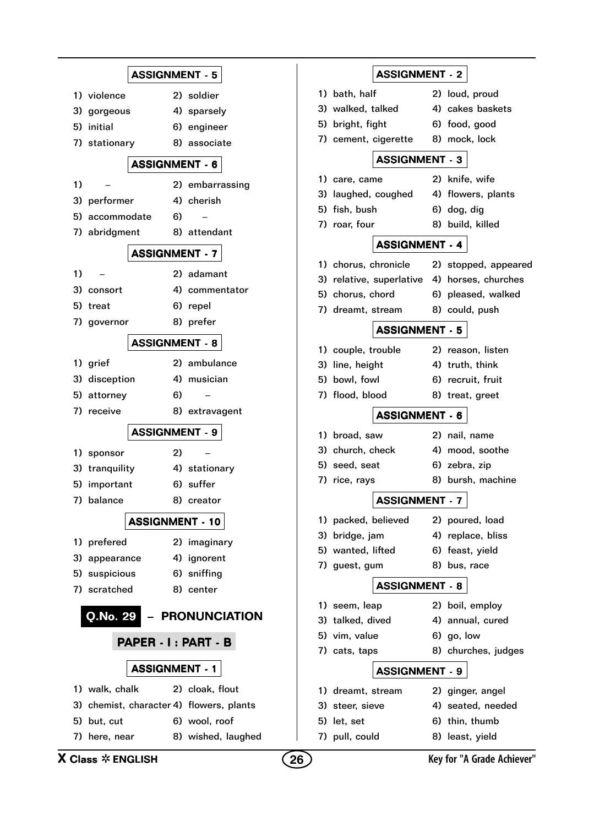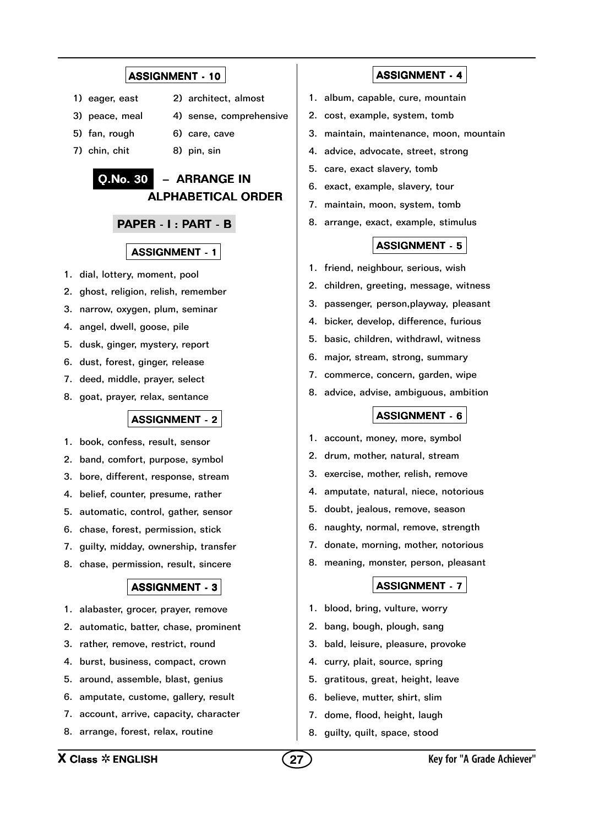- 1) eager, east 2) architect, almost
- 3) peace, meal 4) sense, comprehensive
	-
- 5) fan, rough 6) care, cave
- 7) chin, chit 8) pin, sin

## Q.No. 30 – ARRANGE IN ALPHABETICAL ORDER

#### PAPER - I : PART - B

#### ASSIGNMENT - 1

- 1. dial, lottery, moment, pool
- 2. ghost, religion, relish, remember
- 3. narrow, oxygen, plum, seminar
- 4. angel, dwell, goose, pile
- 5. dusk, ginger, mystery, report
- 6. dust, forest, ginger, release
- 7. deed, middle, prayer, select
- 8. goat, prayer, relax, sentance

#### ASSIGNMENT - 2

- 1. book, confess, result, sensor
- 2. band, comfort, purpose, symbol
- 3. bore, different, response, stream
- 4. belief, counter, presume, rather
- 5. automatic, control, gather, sensor
- 6. chase, forest, permission, stick
- 7. guilty, midday, ownership, transfer
- 8. chase, permission, result, sincere

#### ASSIGNMENT - 3

- 1. alabaster, grocer, prayer, remove
- 2. automatic, batter, chase, prominent
- 3. rather, remove, restrict, round
- 4. burst, business, compact, crown
- 5. around, assemble, blast, genius
- 6. amputate, custome, gallery, result
- 7. account, arrive, capacity, character
- 8. arrange, forest, relax, routine

#### ASSIGNMENT - 4

- 1. album, capable, cure, mountain
- 2. cost, example, system, tomb
- 3. maintain, maintenance, moon, mountain
- 4. advice, advocate, street, strong
- 5. care, exact slavery, tomb
- 6. exact, example, slavery, tour
- 7. maintain, moon, system, tomb
- 8. arrange, exact, example, stimulus

#### ASSIGNMENT - 5

- 1. friend, neighbour, serious, wish
- 2. children, greeting, message, witness
- 3. passenger, person,playway, pleasant
- 4. bicker, develop, difference, furious
- 5. basic, children, withdrawl, witness
- 6. major, stream, strong, summary
- 7. commerce, concern, garden, wipe
- 8. advice, advise, ambiguous, ambition

#### ASSIGNMENT - 6

- 1. account, money, more, symbol
- 2. drum, mother, natural, stream
- 3. exercise, mother, relish, remove
- 4. amputate, natural, niece, notorious
- 5. doubt, jealous, remove, season
- 6. naughty, normal, remove, strength
- 7. donate, morning, mother, notorious
- 8. meaning, monster, person, pleasant

- 1. blood, bring, vulture, worry
- 2. bang, bough, plough, sang
- 3. bald, leisure, pleasure, provoke
- 4. curry, plait, source, spring
- 5. gratitous, great, height, leave
- 6. believe, mutter, shirt, slim
- 7. dome, flood, height, laugh
- 8. guilty, quilt, space, stood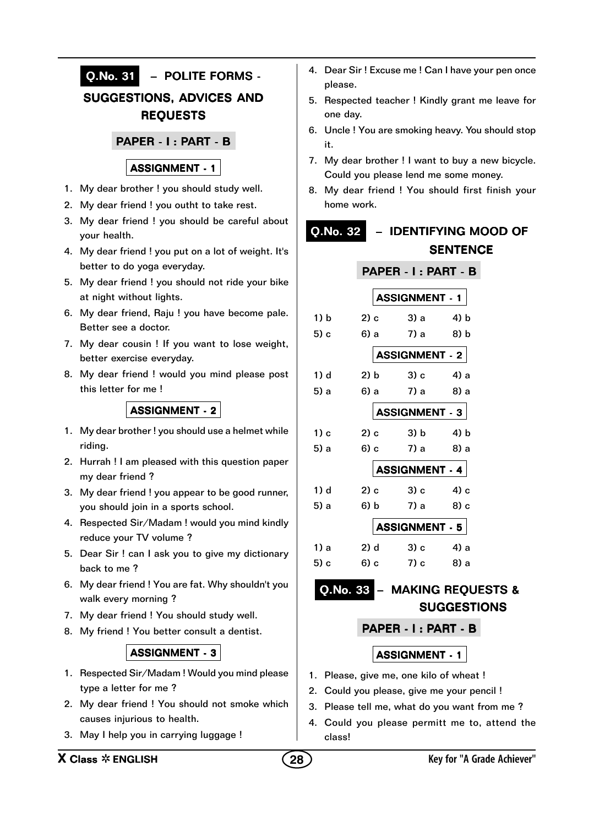

- 4. Dear Sir ! Excuse me ! Can I have your pen once please.
- 5. Respected teacher ! Kindly grant me leave for one day.
- 6. Uncle ! You are smoking heavy. You should stop it.
- 7. My dear brother ! I want to buy a new bicycle. Could you please lend me some money.
- 8. My dear friend ! You should first finish your home work.

## Q.No. 32 – IDENTIFYING MOOD OF **SENTENCE**

|      |                        | PAPER - I : PART - B                                           |       |  |  |  |
|------|------------------------|----------------------------------------------------------------|-------|--|--|--|
|      |                        | <b>ASSIGNMENT - 1</b>                                          |       |  |  |  |
| 1) b | $2)$ c                 | 3) a                                                           | 4) b  |  |  |  |
| 5) c | 6) a                   | 7) a                                                           | 8) b  |  |  |  |
|      |                        | ASSIGNMENT - 2                                                 |       |  |  |  |
| 1) d | 2) b                   | $3)$ c                                                         | 4) a  |  |  |  |
| 5) a | 6) a                   | 7) a                                                           | -8) a |  |  |  |
|      | ASSIGNMENT - 3 $\vert$ |                                                                |       |  |  |  |
| 1) c | $2)$ c                 | 3) b                                                           | 4) b  |  |  |  |
| 5) a | $6$ ) c                | 7) a                                                           | 8) а  |  |  |  |
|      |                        | ASSIGNMENT $-$ 4 $\vert$                                       |       |  |  |  |
| 1) d | $2)$ c                 | 3) c                                                           | 4) с  |  |  |  |
| 5) a | 6) b                   | 7) a                                                           | 8) c  |  |  |  |
|      |                        | ASSIGNMENT $\overline{\phantom{0}}$ 5 $\overline{\phantom{0}}$ |       |  |  |  |
| 1) a | 2) d                   | $\sim$ 3) $\circ$                                              | 4) a  |  |  |  |
| 5) c | 6) c                   | 7) с                                                           | -8) a |  |  |  |
|      |                        |                                                                |       |  |  |  |

## Q.No. 33 – MAKING REQUESTS & SUGGESTIONS

PAPER - I : PART - B

- 1. Please, give me, one kilo of wheat !
- 2. Could you please, give me your pencil !
- 3. Please tell me, what do you want from me ?
- 4. Could you please permitt me to, attend the class!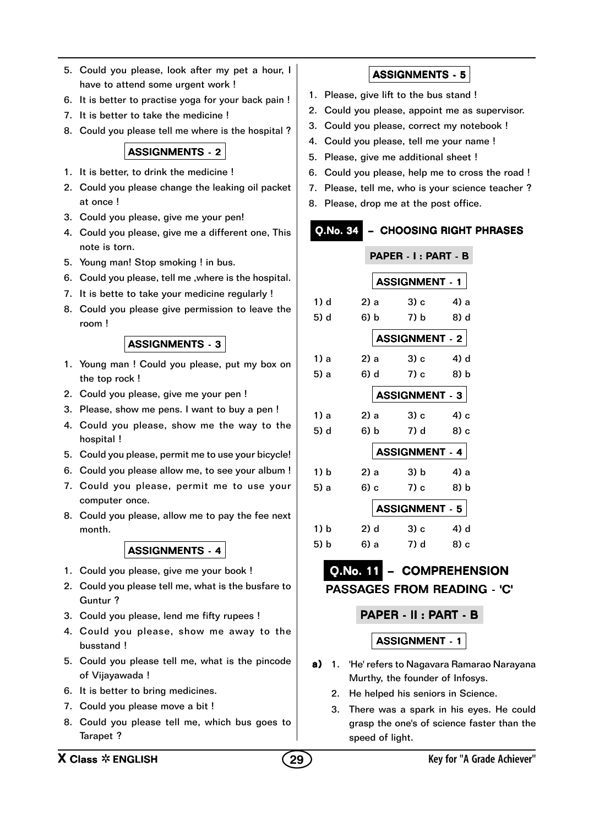- 5. Could you please, look after my pet a hour, I have to attend some urgent work !
- 6. It is better to practise yoga for your back pain !
- 7. It is better to take the medicine !
- 8. Could you please tell me where is the hospital ?

- 1. It is better, to drink the medicine !
- 2. Could you please change the leaking oil packet at once !
- 3. Could you please, give me your pen!
- 4. Could you please, give me a different one, This note is torn.
- 5. Young man! Stop smoking ! in bus.
- 6. Could you please, tell me ,where is the hospital.
- 7. It is bette to take your medicine regularly !
- 8. Could you please give permission to leave the room !

ASSIGNMENTS - 3

- 1. Young man ! Could you please, put my box on the top rock !
- 2. Could you please, give me your pen !
- 3. Please, show me pens. I want to buy a pen !
- 4. Could you please, show me the way to the hospital !
- 5. Could you please, permit me to use your bicycle!
- 6. Could you please allow me, to see your album !
- 7. Could you please, permit me to use your computer once.
- 8. Could you please, allow me to pay the fee next month.

### ASSIGNMENTS - 4

- 1. Could you please, give me your book !
- 2. Could you please tell me, what is the busfare to Guntur ?
- 3. Could you please, lend me fifty rupees !
- 4. Could you please, show me away to the busstand !
- 5. Could you please tell me, what is the pincode of Vijayawada !
- 6. It is better to bring medicines.
- 7. Could you please move a bit !
- 8. Could you please tell me, which bus goes to Tarapet ?

## ASSIGNMENTS - 5

- 1. Please, give lift to the bus stand !
- 2. Could you please, appoint me as supervisor.
- 3. Could you please, correct my notebook !
- 4. Could you please, tell me your name !
- 5. Please, give me additional sheet !
- 6. Could you please, help me to cross the road !
- 7. Please, tell me, who is your science teacher ?
- 8. Please, drop me at the post office.

## Q.No. 34 – CHOOSING RIGHT PHRASES

|      |        | PAPER - I : PART - B               |                                         |      |  |
|------|--------|------------------------------------|-----------------------------------------|------|--|
|      |        |                                    | <b>SSIGNMENT - 1</b>                    |      |  |
| 1) d | 2) a   |                                    | 3) c                                    | 4) a |  |
| 5) d | 6) b   |                                    | 7) b                                    | 8) d |  |
|      |        | $\sf tSSIGNMENT \cdot 2 \sf \vert$ |                                         |      |  |
| 1) a | 2) a   |                                    | 3) c                                    | 4) d |  |
| 5) a | 6) d   |                                    | 7) c                                    | 8) b |  |
|      |        |                                    | ${\tt SSIGNMENT}$ - 3 $ $               |      |  |
| 1) a | 2) a   |                                    | 3) c                                    | 4) с |  |
| 5) d | 6) b   |                                    | 7) d                                    | 8) c |  |
|      |        |                                    | <b>SSIGNMENT - 4</b>                    |      |  |
| 1) b | 2) a   |                                    | 3) b                                    | 4) a |  |
| 5) a | 6) c   |                                    | $7)$ c                                  | 8) b |  |
|      |        |                                    | $\texttt{SSIGNMENT} \texttt{-5}$ $\mid$ |      |  |
| 1) b | $2)$ d |                                    | 3) c                                    | 4) d |  |
| 5) b | 6) a   |                                    | 7) d                                    | 8) c |  |

## Q.No. 11 – COMPREHENSION PASSAGES FROM READING - 'C'

### PAPER - II : PART - B

- a) 1. 'He' refers to Nagavara Ramarao Narayana Murthy, the founder of Infosys.
	- 2. He helped his seniors in Science.
	- 3. There was a spark in his eyes. He could grasp the one's of science faster than the speed of light.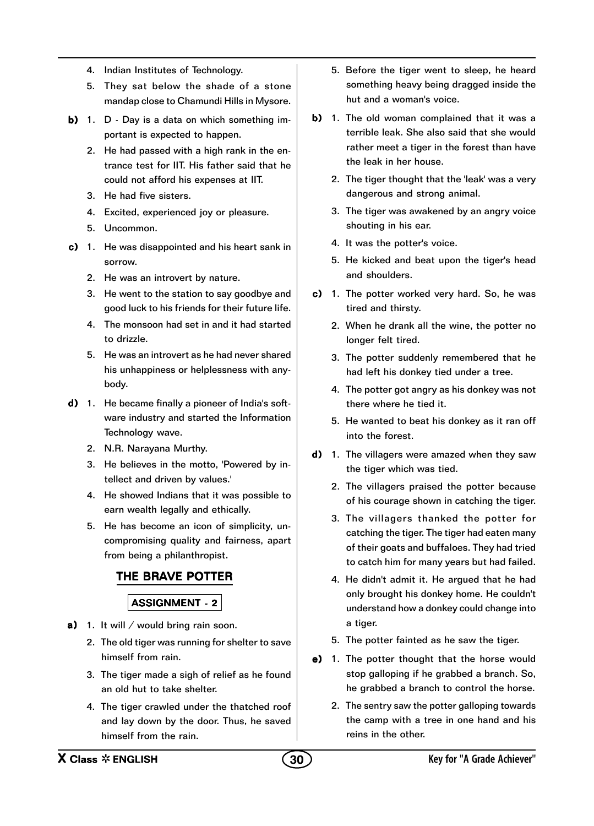- 4. Indian Institutes of Technology.
- 5. They sat below the shade of a stone mandap close to Chamundi Hills in Mysore.
- b) 1. D Day is a data on which something important is expected to happen.
	- 2. He had passed with a high rank in the entrance test for IIT. His father said that he could not afford his expenses at IIT.
	- 3. He had five sisters.
	- 4. Excited, experienced joy or pleasure.
	- 5. Uncommon.
- c) 1. He was disappointed and his heart sank in sorrow.
	- 2. He was an introvert by nature.
	- 3. He went to the station to say goodbye and good luck to his friends for their future life.
	- 4. The monsoon had set in and it had started to drizzle.
	- 5. He was an introvert as he had never shared his unhappiness or helplessness with anybody.
- $d)$  1. He became finally a pioneer of India's software industry and started the Information Technology wave.
	- 2. N.R. Narayana Murthy.
	- 3. He believes in the motto, 'Powered by intellect and driven by values.'
	- 4. He showed Indians that it was possible to earn wealth legally and ethically.
	- 5. He has become an icon of simplicity, uncompromising quality and fairness, apart from being a philanthropist.

## THE BRAVE POTTER

- a) 1. It will / would bring rain soon.
	- 2. The old tiger was running for shelter to save himself from rain.
	- 3. The tiger made a sigh of relief as he found an old hut to take shelter.
	- 4. The tiger crawled under the thatched roof and lay down by the door. Thus, he saved himself from the rain.
- 5. Before the tiger went to sleep, he heard something heavy being dragged inside the hut and a woman's voice.
- b) 1. The old woman complained that it was a terrible leak. She also said that she would rather meet a tiger in the forest than have the leak in her house.
	- 2. The tiger thought that the 'leak' was a very dangerous and strong animal.
	- 3. The tiger was awakened by an angry voice shouting in his ear.
	- 4. It was the potter's voice.
	- 5. He kicked and beat upon the tiger's head and shoulders.
- c) 1. The potter worked very hard. So, he was tired and thirsty.
	- 2. When he drank all the wine, the potter no longer felt tired.
	- 3. The potter suddenly remembered that he had left his donkey tied under a tree.
	- 4. The potter got angry as his donkey was not there where he tied it.
	- 5. He wanted to beat his donkey as it ran off into the forest.
- d) 1. The villagers were amazed when they saw the tiger which was tied.
	- 2. The villagers praised the potter because of his courage shown in catching the tiger.
	- 3. The villagers thanked the potter for catching the tiger. The tiger had eaten many of their goats and buffaloes. They had tried to catch him for many years but had failed.
	- 4. He didn't admit it. He argued that he had only brought his donkey home. He couldn't understand how a donkey could change into a tiger.
	- 5. The potter fainted as he saw the tiger.
- $e)$  1. The potter thought that the horse would stop galloping if he grabbed a branch. So, he grabbed a branch to control the horse.
	- 2. The sentry saw the potter galloping towards the camp with a tree in one hand and his reins in the other.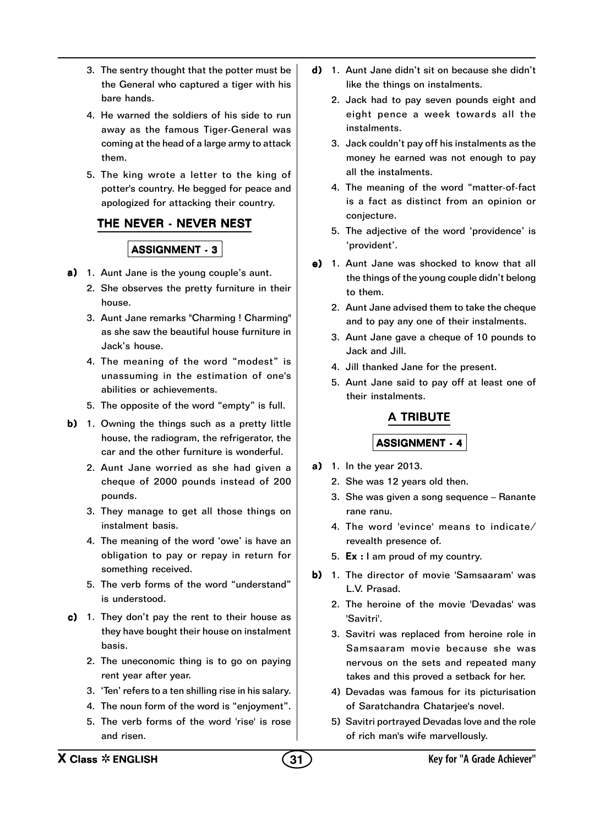- 3. The sentry thought that the potter must be the General who captured a tiger with his bare hands.
- 4. He warned the soldiers of his side to run away as the famous Tiger-General was coming at the head of a large army to attack them.
- 5. The king wrote a letter to the king of potter's country. He begged for peace and apologized for attacking their country.

### THE NEVER - NEVER NEST

#### ASSIGNMENT - 3

- a) 1. Aunt Jane is the young couple's aunt.
	- 2. She observes the pretty furniture in their house.
	- 3. Aunt Jane remarks "Charming ! Charming" as she saw the beautiful house furniture in Jack's house.
	- 4. The meaning of the word "modest" is unassuming in the estimation of one's abilities or achievements.
	- 5. The opposite of the word "empty" is full.
- b) 1. Owning the things such as a pretty little house, the radiogram, the refrigerator, the car and the other furniture is wonderful.
	- 2. Aunt Jane worried as she had given a cheque of 2000 pounds instead of 200 pounds.
	- 3. They manage to get all those things on instalment basis.
	- 4. The meaning of the word 'owe' is have an obligation to pay or repay in return for something received.
	- 5. The verb forms of the word "understand" is understood.
- c) 1. They don't pay the rent to their house as they have bought their house on instalment basis.
	- 2. The uneconomic thing is to go on paying rent year after year.
	- 3. 'Ten' refers to a ten shilling rise in his salary.
	- 4. The noun form of the word is "enjoyment".
	- 5. The verb forms of the word 'rise' is rose and risen.
- d) 1. Aunt Jane didn't sit on because she didn't like the things on instalments.
	- 2. Jack had to pay seven pounds eight and eight pence a week towards all the instalments.
	- 3. Jack couldn't pay off his instalments as the money he earned was not enough to pay all the instalments.
	- 4. The meaning of the word "matter-of-fact is a fact as distinct from an opinion or conjecture.
	- 5. The adjective of the word 'providence' is 'provident'.
- $e)$  1. Aunt Jane was shocked to know that all the things of the young couple didn't belong to them.
	- 2. Aunt Jane advised them to take the cheque and to pay any one of their instalments.
	- 3. Aunt Jane gave a cheque of 10 pounds to Jack and Jill.
	- 4. Jill thanked Jane for the present.
	- 5. Aunt Jane said to pay off at least one of their instalments.

## A TRIBUTE

- **a)** 1. In the year 2013.
	- 2. She was 12 years old then.
	- 3. She was given a song sequence Ranante rane ranu.
	- 4. The word 'evince' means to indicate/ revealth presence of.
	- 5.  $Ex: I$  am proud of my country.
- b) 1. The director of movie 'Samsaaram' was L.V. Prasad.
	- 2. The heroine of the movie 'Devadas' was 'Savitri'.
	- 3. Savitri was replaced from heroine role in Samsaaram movie because she was nervous on the sets and repeated many takes and this proved a setback for her.
	- 4) Devadas was famous for its picturisation of Saratchandra Chatarjee's novel.
	- 5) Savitri portrayed Devadas love and the role of rich man's wife marvellously.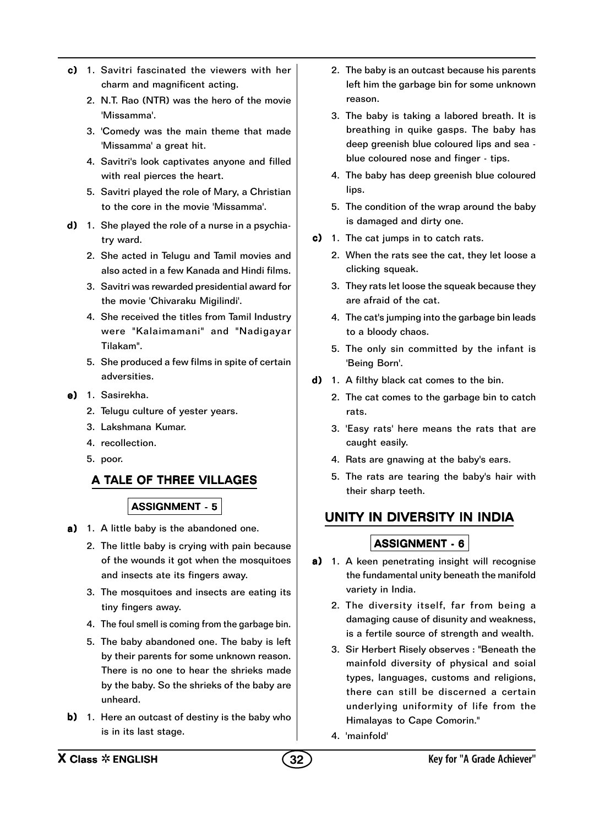- c) 1. Savitri fascinated the viewers with her charm and magnificent acting.
	- 2. N.T. Rao (NTR) was the hero of the movie 'Missamma'.
	- 3. 'Comedy was the main theme that made 'Missamma' a great hit.
	- 4. Savitri's look captivates anyone and filled with real pierces the heart.
	- 5. Savitri played the role of Mary, a Christian to the core in the movie 'Missamma'.
- d) 1. She played the role of a nurse in a psychiatry ward.
	- 2. She acted in Telugu and Tamil movies and also acted in a few Kanada and Hindi films.
	- 3. Savitri was rewarded presidential award for the movie 'Chivaraku Migilindi'.
	- 4. She received the titles from Tamil Industry were "Kalaimamani" and "Nadigayar Tilakam".
	- 5. She produced a few films in spite of certain adversities.
- e) 1. Sasirekha.
	- 2. Telugu culture of yester years.
	- 3. Lakshmana Kumar.
	- 4. recollection.
	- 5. poor.

### A TALE OF THREE VILLAGES

#### ASSIGNMENT - 5

- a) 1. A little baby is the abandoned one.
	- 2. The little baby is crying with pain because of the wounds it got when the mosquitoes and insects ate its fingers away.
	- 3. The mosquitoes and insects are eating its tiny fingers away.
	- 4. The foul smell is coming from the garbage bin.
	- 5. The baby abandoned one. The baby is left by their parents for some unknown reason. There is no one to hear the shrieks made by the baby. So the shrieks of the baby are unheard.
- b) 1. Here an outcast of destiny is the baby who is in its last stage.
- 2. The baby is an outcast because his parents left him the garbage bin for some unknown reason.
- 3. The baby is taking a labored breath. It is breathing in quike gasps. The baby has deep greenish blue coloured lips and sea blue coloured nose and finger - tips.
- 4. The baby has deep greenish blue coloured lips.
- 5. The condition of the wrap around the baby is damaged and dirty one.
- c) 1. The cat jumps in to catch rats.
	- 2. When the rats see the cat, they let loose a clicking squeak.
	- 3. They rats let loose the squeak because they are afraid of the cat.
	- 4. The cat's jumping into the garbage bin leads to a bloody chaos.
	- 5. The only sin committed by the infant is 'Being Born'.
- $d)$  1. A filthy black cat comes to the bin.
	- 2. The cat comes to the garbage bin to catch rats.
	- 3. 'Easy rats' here means the rats that are caught easily.
	- 4. Rats are gnawing at the baby's ears.
	- 5. The rats are tearing the baby's hair with their sharp teeth.

## UNITY IN DIVERSITY IN INDIA

- a) 1. A keen penetrating insight will recognise the fundamental unity beneath the manifold variety in India.
	- 2. The diversity itself, far from being a damaging cause of disunity and weakness, is a fertile source of strength and wealth.
	- 3. Sir Herbert Risely observes : "Beneath the mainfold diversity of physical and soial types, languages, customs and religions, there can still be discerned a certain underlying uniformity of life from the Himalayas to Cape Comorin."
	- 4. 'mainfold'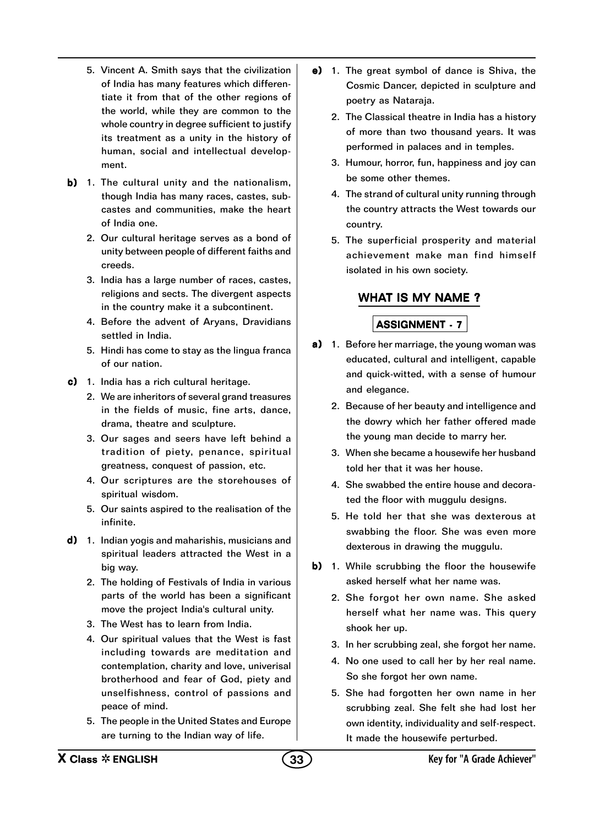- 5. Vincent A. Smith says that the civilization of India has many features which differentiate it from that of the other regions of the world, while they are common to the whole country in degree sufficient to justify its treatment as a unity in the history of human, social and intellectual development.
- b) 1. The cultural unity and the nationalism, though India has many races, castes, subcastes and communities, make the heart of India one.
	- 2. Our cultural heritage serves as a bond of unity between people of different faiths and creeds.
	- 3. India has a large number of races, castes, religions and sects. The divergent aspects in the country make it a subcontinent.
	- 4. Before the advent of Aryans, Dravidians settled in India.
	- 5. Hindi has come to stay as the lingua franca of our nation.
- $c)$  1. India has a rich cultural heritage.
	- 2. We are inheritors of several grand treasures in the fields of music, fine arts, dance, drama, theatre and sculpture.
	- 3. Our sages and seers have left behind a tradition of piety, penance, spiritual greatness, conquest of passion, etc.
	- 4. Our scriptures are the storehouses of spiritual wisdom.
	- 5. Our saints aspired to the realisation of the infinite.
- $d)$  1. Indian yogis and maharishis, musicians and spiritual leaders attracted the West in a big way.
	- 2. The holding of Festivals of India in various parts of the world has been a significant move the project India's cultural unity.
	- 3. The West has to learn from India.
	- 4. Our spiritual values that the West is fast including towards are meditation and contemplation, charity and love, univerisal brotherhood and fear of God, piety and unselfishness, control of passions and peace of mind.
	- 5. The people in the United States and Europe are turning to the Indian way of life.
- e) 1. The great symbol of dance is Shiva, the Cosmic Dancer, depicted in sculpture and poetry as Nataraja.
	- 2. The Classical theatre in India has a history of more than two thousand years. It was performed in palaces and in temples.
	- 3. Humour, horror, fun, happiness and joy can be some other themes.
	- 4. The strand of cultural unity running through the country attracts the West towards our country.
	- 5. The superficial prosperity and material achievement make man find himself isolated in his own society.

## WHAT IS MY NAME ?

- a) 1. Before her marriage, the young woman was educated, cultural and intelligent, capable and quick-witted, with a sense of humour and elegance.
	- 2. Because of her beauty and intelligence and the dowry which her father offered made the young man decide to marry her.
	- 3. When she became a housewife her husband told her that it was her house.
	- 4. She swabbed the entire house and decorated the floor with muggulu designs.
	- 5. He told her that she was dexterous at swabbing the floor. She was even more dexterous in drawing the muggulu.
- b) 1. While scrubbing the floor the housewife asked herself what her name was.
	- 2. She forgot her own name. She asked herself what her name was. This query shook her up.
	- 3. In her scrubbing zeal, she forgot her name.
	- 4. No one used to call her by her real name. So she forgot her own name.
	- 5. She had forgotten her own name in her scrubbing zeal. She felt she had lost her own identity, individuality and self-respect. It made the housewife perturbed.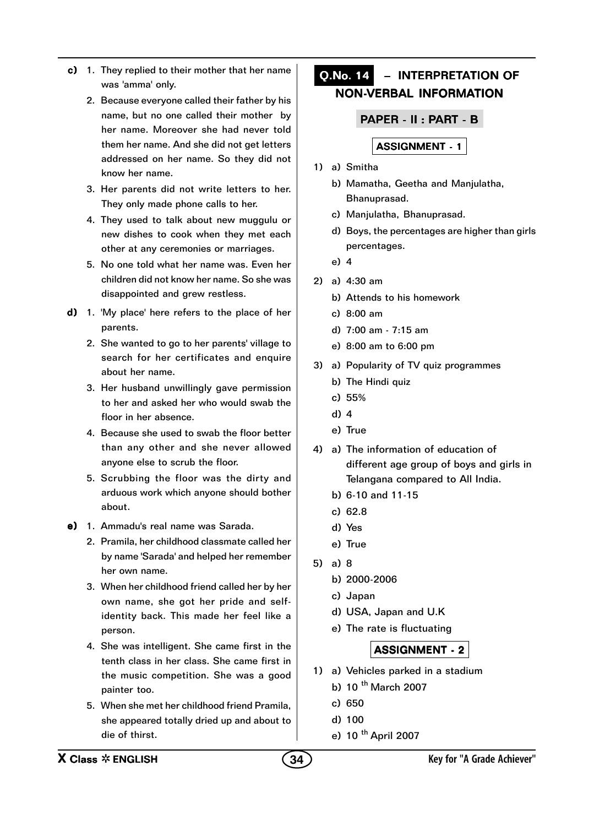- c) 1. They replied to their mother that her name was 'amma' only.
	- 2. Because everyone called their father by his name, but no one called their mother by her name. Moreover she had never told them her name. And she did not get letters addressed on her name. So they did not know her name.
	- 3. Her parents did not write letters to her. They only made phone calls to her.
	- 4. They used to talk about new muggulu or new dishes to cook when they met each other at any ceremonies or marriages.
	- 5. No one told what her name was. Even her children did not know her name. So she was disappointed and grew restless.
- $d)$  1. 'My place' here refers to the place of her parents.
	- 2. She wanted to go to her parents' village to search for her certificates and enquire about her name.
	- 3. Her husband unwillingly gave permission to her and asked her who would swab the floor in her absence.
	- 4. Because she used to swab the floor better than any other and she never allowed anyone else to scrub the floor.
	- 5. Scrubbing the floor was the dirty and arduous work which anyone should bother about.
- e) 1. Ammadu's real name was Sarada.
	- 2. Pramila, her childhood classmate called her by name 'Sarada' and helped her remember her own name.
	- 3. When her childhood friend called her by her own name, she got her pride and selfidentity back. This made her feel like a person.
	- 4. She was intelligent. She came first in the tenth class in her class. She came first in the music competition. She was a good painter too.
	- 5. When she met her childhood friend Pramila, she appeared totally dried up and about to die of thirst.

## Q.No. 14 – INTERPRETATION OF NON-VERBAL INFORMATION

PAPER - II : PART - B

## ASSIGNMENT - 1

- 1) a) Smitha
	- b) Mamatha, Geetha and Manjulatha, Bhanuprasad.
	- c) Manjulatha, Bhanuprasad.
	- d) Boys, the percentages are higher than girls percentages.
	- e) 4
- 2) a) 4:30 am
	- b) Attends to his homework
	- c) 8:00 am
	- d) 7:00 am 7:15 am
	- e) 8:00 am to 6:00 pm
- 3) a) Popularity of TV quiz programmes
	- b) The Hindi quiz
	- c) 55%
	- d) 4
	- e) True
- 4) a) The information of education of different age group of boys and girls in Telangana compared to All India.
	- b) 6-10 and 11-15
	- c) 62.8
	- d) Yes
	- e) True
- 5) a) 8
	- b) 2000-2006
	- c) Japan
	- d) USA, Japan and U.K
	- e) The rate is fluctuating

- 1) a) Vehicles parked in a stadium
	- b) 10  $<sup>th</sup>$  March 2007</sup>
	- c) 650
	- d) 100
	- e) 10 <sup>th</sup> April 2007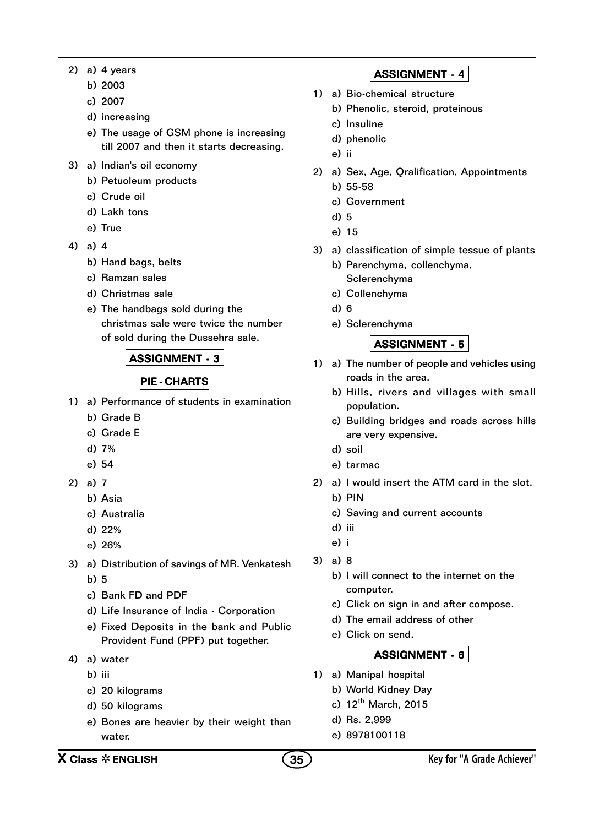- 2) a) 4 years
	- b) 2003
	- c) 2007
	- d) increasing
	- e) The usage of GSM phone is increasing till 2007 and then it starts decreasing.
- 3) a) Indian's oil economy
	- b) Petuoleum products
	- c) Crude oil
	- d) Lakh tons
	- e) True
- 4) a) 4
	- b) Hand bags, belts
	- c) Ramzan sales
	- d) Christmas sale
	- e) The handbags sold during the christmas sale were twice the number of sold during the Dussehra sale.

#### PIE - CHARTS

- 1) a) Performance of students in examination
	- b) Grade B
	- c) Grade E
	- d) 7%
	- e) 54
- 2) a) 7
	- b) Asia
	- c) Australia
	- d) 22%
	- e) 26%
- 3) a) Distribution of savings of MR. Venkatesh b) 5
	- c) Bank FD and PDF
	- d) Life Insurance of India Corporation
	- e) Fixed Deposits in the bank and Public Provident Fund (PPF) put together.
- 4) a) water
	- b) iii
	- c) 20 kilograms
	- d) 50 kilograms
	- e) Bones are heavier by their weight than water.

## ASSIGNMENT - 4

- 1) a) Bio-chemical structure
	- b) Phenolic, steroid, proteinous
	- c) Insuline
	- d) phenolic
	- e) ii
- 2) a) Sex, Age, Qralification, Appointments b) 55-58
	- c) Government
	- d) 5
	- e) 15
- 3) a) classification of simple tessue of plants
	- b) Parenchyma, collenchyma, Sclerenchyma
	- c) Collenchyma
	- d) 6
	- e) Sclerenchyma

#### ASSIGNMENT - 5

- 1) a) The number of people and vehicles using roads in the area.
	- b) Hills, rivers and villages with small population.
	- c) Building bridges and roads across hills are very expensive.
	- d) soil
	- e) tarmac
- 2) a) I would insert the ATM card in the slot. b) PIN
	- c) Saving and current accounts
	- d) iii
	- e) i
- 3) a) 8
	- b) I will connect to the internet on the computer.
	- c) Click on sign in and after compose.
	- d) The email address of other
	- e) Click on send.

- 1) a) Manipal hospital
	- b) World Kidney Day
	- c)  $12^{th}$  March, 2015
	- d) Rs. 2,999
	- e) 8978100118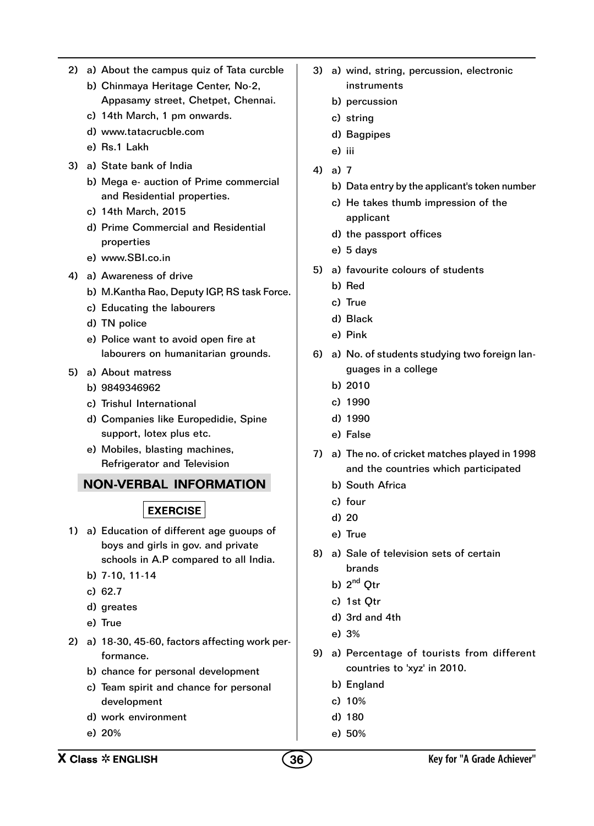- 2) a) About the campus quiz of Tata curcble
	- b) Chinmaya Heritage Center, No-2, Appasamy street, Chetpet, Chennai.
	- c) 14th March, 1 pm onwards.
	- d) www.tatacrucble.com
	- e) Rs.1 Lakh
- 3) a) State bank of India
	- b) Mega e- auction of Prime commercial and Residential properties.
	- c) 14th March, 2015
	- d) Prime Commercial and Residential properties
	- e) www.SBI.co.in
- 4) a) Awareness of drive
	- b) M.Kantha Rao, Deputy IGP, RS task Force.
	- c) Educating the labourers
	- d) TN police
	- e) Police want to avoid open fire at labourers on humanitarian grounds.
- 5) a) About matress
	- b) 9849346962
	- c) Trishul International
	- d) Companies like Europedidie, Spine support, lotex plus etc.
	- e) Mobiles, blasting machines, Refrigerator and Television

## NON-VERBAL INFORMATION

## **EXERCISE**

- 1) a) Education of different age guoups of boys and girls in gov. and private schools in A.P compared to all India.
	- b) 7-10, 11-14
	- c) 62.7
	- d) greates
	- e) True
- 2) a) 18-30, 45-60, factors affecting work performance.
	- b) chance for personal development
	- c) Team spirit and chance for personal development
	- d) work environment
	- e) 20%
- 3) a) wind, string, percussion, electronic instruments
	- b) percussion
	- c) string
	- d) Bagpipes
	- e) iii
- 4) a) 7
	- b) Data entry by the applicant's token number
	- c) He takes thumb impression of the applicant
	- d) the passport offices
	- e) 5 days
- 5) a) favourite colours of students
	- b) Red
	- c) True
	- d) Black
	- e) Pink
- 6) a) No. of students studying two foreign languages in a college
	- b) 2010
	- c) 1990
	- d) 1990
	- e) False
- 7) a) The no. of cricket matches played in 1998 and the countries which participated
	- b) South Africa
	- c) four
	- d) 20
	- e) True
- 8) a) Sale of television sets of certain brands
	- b) 2<sup>nd</sup> Otr
	- c) 1st Qtr
	- d) 3rd and 4th
	- e) 3%
- 9) a) Percentage of tourists from different countries to 'xyz' in 2010.
	- b) England
	- c) 10%
	- d) 180
	- e) 50%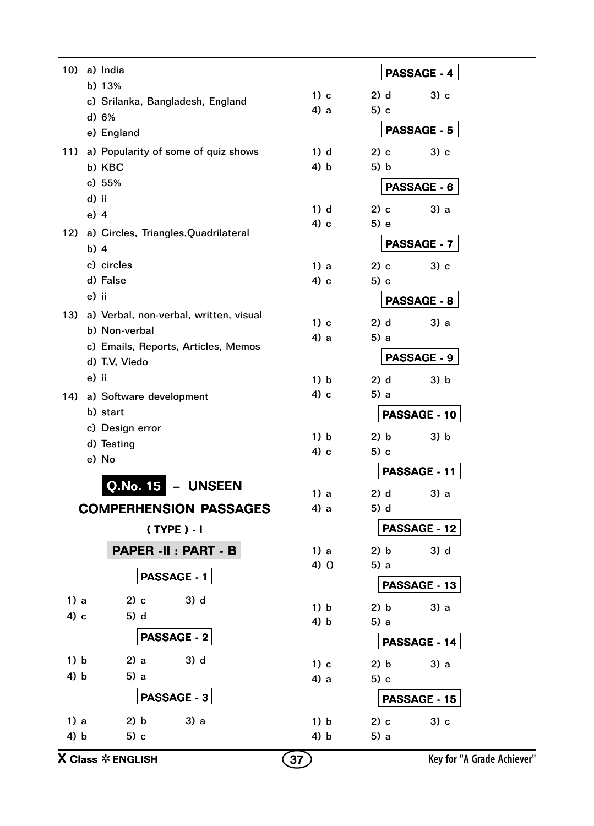| 10)      | a) India                                       |         |              | PASSAGE - 4         |  |
|----------|------------------------------------------------|---------|--------------|---------------------|--|
|          | b) 13%                                         | $1)$ c  | 2) d         | $3)$ c              |  |
|          | c) Srilanka, Bangladesh, England               | 4) a    | 5) c         |                     |  |
|          | d) 6%                                          |         |              | <b>PASSAGE - 5</b>  |  |
|          | e) England                                     |         |              |                     |  |
| 11)      | a) Popularity of some of quiz shows            | $1)$ d  | 2) c         | $3)$ c              |  |
|          | b) KBC                                         | 4) b    | 5) b         |                     |  |
|          | c) 55%<br>d) ii                                |         |              | PASSAGE - 6         |  |
|          | $e)$ 4                                         | $1)$ d  | $2)$ c       | 3) a                |  |
| 12)      |                                                | 4) c    | 5) e         |                     |  |
|          | a) Circles, Triangles, Quadrilateral<br>$b)$ 4 |         | PASSAGE - 7  |                     |  |
|          | c) circles                                     | 1) a    | $2)$ c       | $3)$ c              |  |
|          | d) False                                       | 4) c    | $5)$ c       |                     |  |
|          | e) ii                                          |         |              | <b>PASSAGE - 8</b>  |  |
| 13)      | a) Verbal, non-verbal, written, visual         |         |              |                     |  |
|          | b) Non-verbal                                  | $1)$ c  | 2) d         | 3) a                |  |
|          | c) Emails, Reports, Articles, Memos            | 4) a    | 5) a         |                     |  |
|          | d) T.V, Viedo                                  |         |              | <b>PASSAGE - 9</b>  |  |
|          | e) ii                                          | 1) b    | $2)$ d       | 3) b                |  |
| 14)      | a) Software development                        | 4) c    | 5) a         |                     |  |
| b) start |                                                |         |              | PASSAGE - 10        |  |
|          | c) Design error                                | 1) b    | 2) b         | 3) b                |  |
|          | d) Testing                                     | 4) c    | $5)$ c       |                     |  |
|          | e) No                                          |         |              | PASSAGE - 11        |  |
|          | Q.No. 15<br>– UNSEEN                           | 1) a    | 2) d         | 3) a                |  |
|          | COMPERHENSION PASSAGES                         | 4) a    | 5) d         |                     |  |
|          |                                                |         |              | <b>PASSAGE - 12</b> |  |
|          | $(TYPE) - I$                                   |         |              |                     |  |
|          | PAPER -II : PART - B                           | 1) a    | 2) b         | 3) d                |  |
|          | PASSAGE - 1                                    | $4)$ () | 5) a         |                     |  |
|          |                                                |         |              | PASSAGE - 13        |  |
| 1) a     | 3) d<br>2) c                                   | 1) b    | 2) b         | 3) a                |  |
| 4) c     | 5) d                                           | 4) b    | 5) a         |                     |  |
|          | <b>PASSAGE - 2</b>                             |         |              | PASSAGE - 14        |  |
| 1) b     | $3)$ d<br>2) a                                 | 1) c    | 2) b         | 3) a                |  |
| 4) b     | 5) a                                           | 4) a    | 5) c         |                     |  |
|          | <b>PASSAGE - 3</b>                             |         | PASSAGE - 15 |                     |  |
| 1) a     | 2) b<br>3) a                                   | 1) b    | 2) c         | 3) c                |  |
| 4) b     | 5) c                                           | 4) b    | 5) a         |                     |  |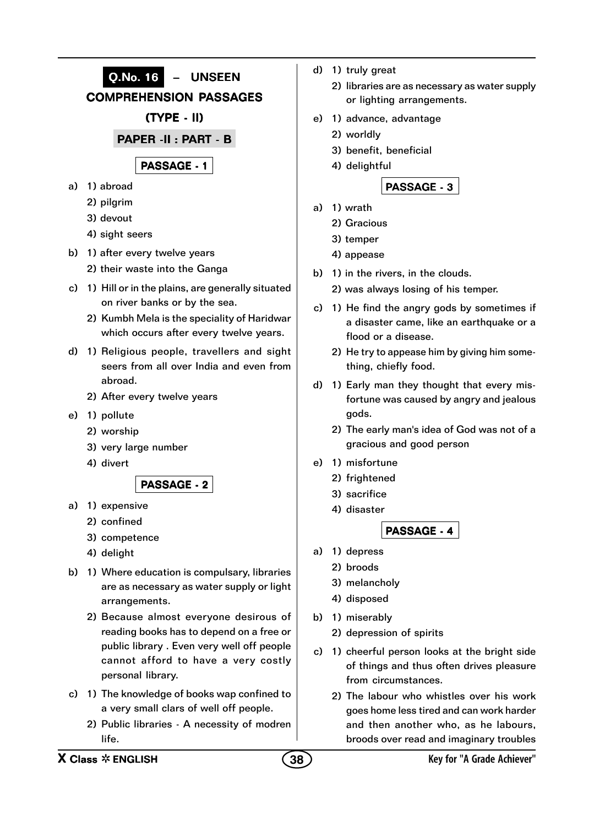

- reading books has to depend on a free or public library . Even very well off people cannot afford to have a very costly personal library.
- c) 1) The knowledge of books wap confined to a very small clars of well off people.
	- 2) Public libraries A necessity of modren life.
- d) 1) truly great
	- 2) libraries are as necessary as water supply or lighting arrangements.
- e) 1) advance, advantage
	- 2) worldly
	- 3) benefit, beneficial
	- 4) delightful

## PASSAGE - 3

- a) 1) wrath
	- 2) Gracious
	- 3) temper
	- 4) appease
- b) 1) in the rivers, in the clouds.
	- 2) was always losing of his temper.
- c) 1) He find the angry gods by sometimes if a disaster came, like an earthquake or a flood or a disease.
	- 2) He try to appease him by giving him something, chiefly food.
- d) 1) Early man they thought that every misfortune was caused by angry and jealous gods.
	- 2) The early man's idea of God was not of a gracious and good person
- e) 1) misfortune
	- 2) frightened
	- 3) sacrifice
	- 4) disaster

PASSAGE - 4

- a) 1) depress
	- 2) broods
		- 3) melancholy
	- 4) disposed
- b) 1) miserably
	- 2) depression of spirits
- c) 1) cheerful person looks at the bright side of things and thus often drives pleasure from circumstances.
	- 2) The labour who whistles over his work goes home less tired and can work harder and then another who, as he labours, broods over read and imaginary troubles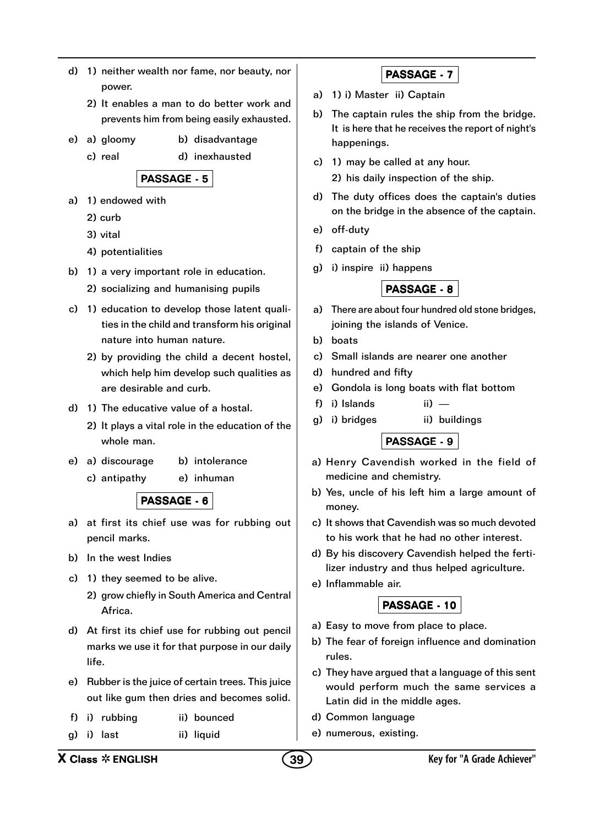- d) 1) neither wealth nor fame, nor beauty, nor power.
	- 2) It enables a man to do better work and prevents him from being easily exhausted.
- e) a) gloomy b) disadvantage
	- c) real d) inexhausted

PASSAGE - 5

- a) 1) endowed with
	- 2) curb
	- 3) vital
	- 4) potentialities
- b) 1) a very important role in education.
	- 2) socializing and humanising pupils
- c) 1) education to develop those latent qualities in the child and transform his original nature into human nature.
	- 2) by providing the child a decent hostel, which help him develop such qualities as are desirable and curb.
- d) 1) The educative value of a hostal.
	- 2) It plays a vital role in the education of the whole man.
- e) a) discourage b) intolerance
	- c) antipathy e) inhuman

## PASSAGE - 6

- a) at first its chief use was for rubbing out pencil marks.
- b) In the west Indies
- c) 1) they seemed to be alive.
	- 2) grow chiefly in South America and Central Africa.
- d) At first its chief use for rubbing out pencil marks we use it for that purpose in our daily life.
- e) Rubber is the juice of certain trees. This juice out like gum then dries and becomes solid.
- f) i) rubbing ii) bounced
- g) i) last ii) liquid

## PASSAGE - 7

- a) 1) i) Master ii) Captain
- b) The captain rules the ship from the bridge. It is here that he receives the report of night's happenings.
- c) 1) may be called at any hour.
	- 2) his daily inspection of the ship.
- d) The duty offices does the captain's duties on the bridge in the absence of the captain.
- e) off-duty
- f) captain of the ship
- g) i) inspire ii) happens

### PASSAGE - 8

- a) There are about four hundred old stone bridges, joining the islands of Venice.
- b) boats
- c) Small islands are nearer one another
- d) hundred and fifty
- e) Gondola is long boats with flat bottom
- f) i) Islands ii) —
- g) i) bridges ii) buildings

## PASSAGE - 9

- a) Henry Cavendish worked in the field of medicine and chemistry.
- b) Yes, uncle of his left him a large amount of money.
- c) It shows that Cavendish was so much devoted to his work that he had no other interest.
- d) By his discovery Cavendish helped the fertilizer industry and thus helped agriculture.
- e) Inflammable air.

### PASSAGE - 10

- a) Easy to move from place to place.
- b) The fear of foreign influence and domination rules.
- c) They have argued that a language of this sent would perform much the same services a Latin did in the middle ages.
- d) Common language
- e) numerous, existing.